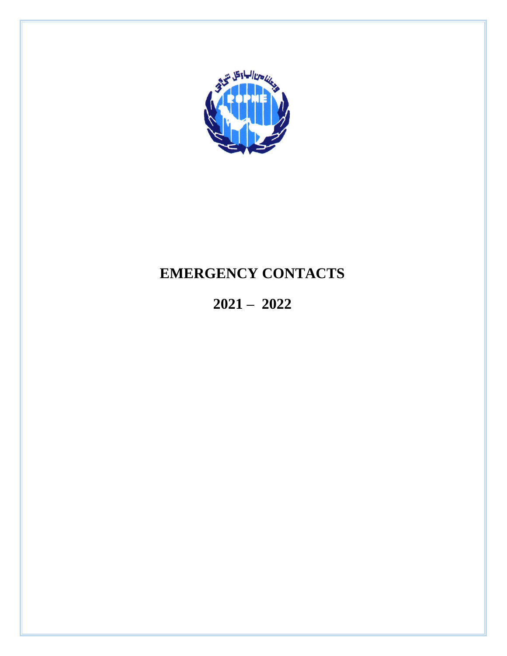

# **EMERGENCY CONTACTS**

**2021 – 2022**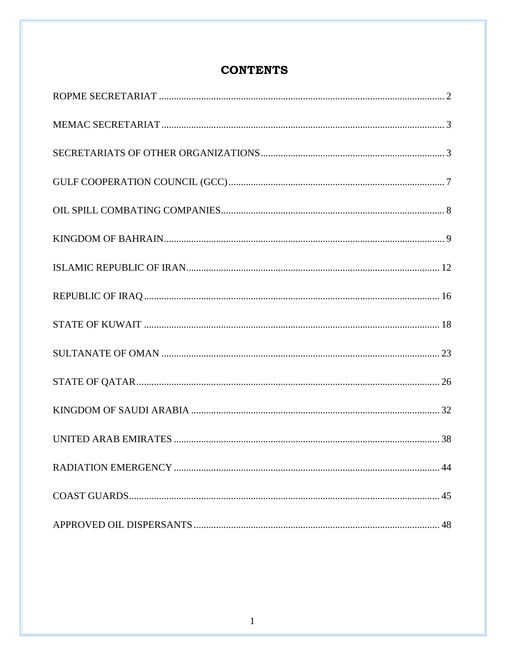# **CONTENTS**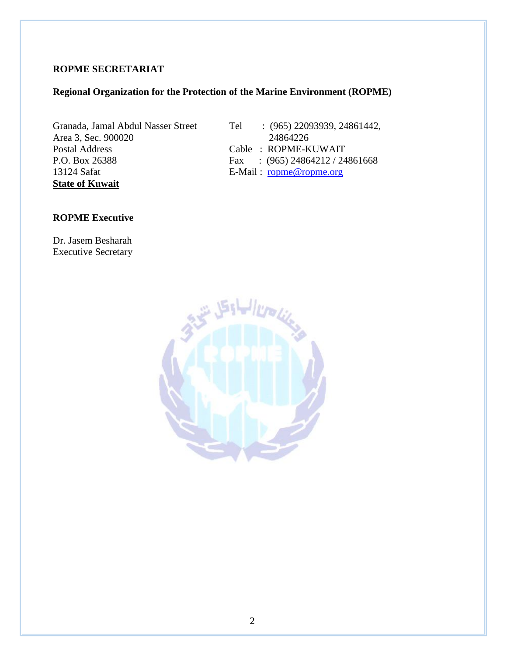### <span id="page-2-0"></span>**ROPME SECRETARIAT**

### **Regional Organization for the Protection of the Marine Environment (ROPME)**

Granada, Jamal Abdul Nasser Street Area 3, Sec. 900020 Postal Address P.O. Box 26388 13124 Safat **State of Kuwait**

Tel : (965) 22093939, 24861442, 24864226 Cable : ROPME-KUWAIT Fax : (965) 24864212 / 24861668 E-Mail : ropme@ropme.org

### **ROPME Executive**

Dr. Jasem Besharah Executive Secretary

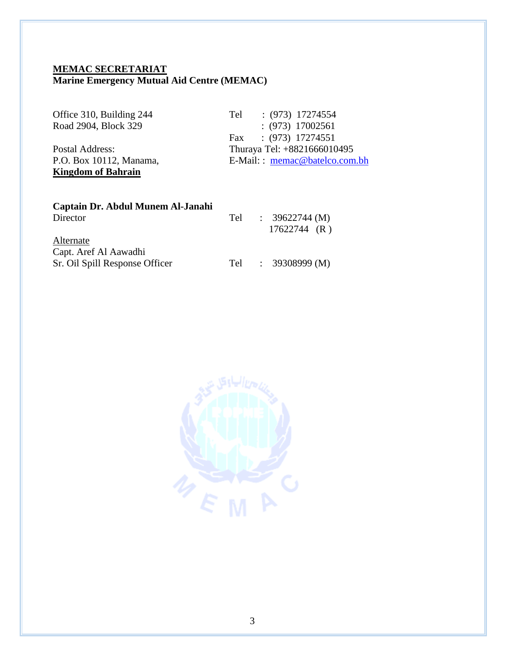### <span id="page-3-0"></span>**MEMAC SECRETARIAT Marine Emergency Mutual Aid Centre (MEMAC)**

| Office 310, Building 244          | $(973)$ 17274554<br>Tel          |
|-----------------------------------|----------------------------------|
| Road 2904, Block 329              | $(973)$ 17002561                 |
|                                   | $(973)$ 17274551<br>Fax          |
| Postal Address:                   | Thuraya Tel: +8821666010495      |
| P.O. Box 10112, Manama,           | E-Mail:: memac@batelco.com.bh    |
| <b>Kingdom of Bahrain</b>         |                                  |
|                                   |                                  |
| Captain Dr. Abdul Munem Al-Janahi |                                  |
| Director                          | Tel<br>$\therefore$ 39622744 (M) |
|                                   | 17622744 (R)                     |
| Alternate                         |                                  |
| Capt. Aref Al Aawadhi             |                                  |

<span id="page-3-1"></span>Sr. Oil Spill Response Officer Tel : 39308999 (M)

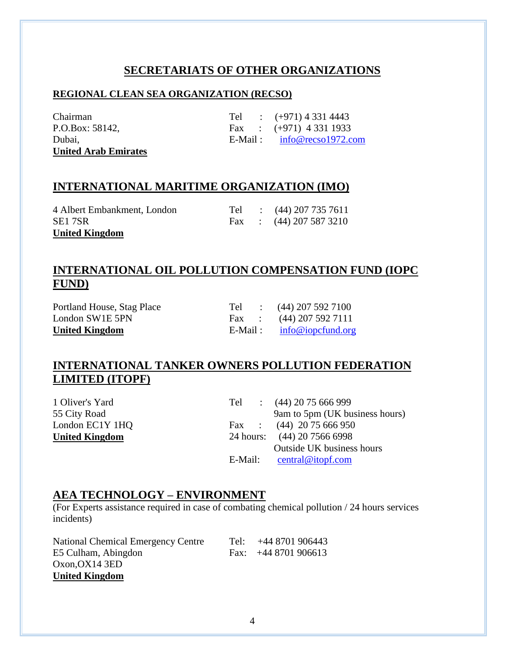# **SECRETARIATS OF OTHER ORGANIZATIONS**

#### **REGIONAL CLEAN SEA ORGANIZATION (RECSO)**

Chairman P.O.Box: 58142, Dubai, **United Arab Emirates** Tel : (+971) 4 331 4443 Fax : (+971) 4 331 1933 E-Mail : [info@recso1972.com](mailto:info@recso1972.com)

### **INTERNATIONAL MARITIME ORGANIZATION (IMO)**

| 4 Albert Embankment, London |  | Tel : $(44)$ 207 735 7611 |
|-----------------------------|--|---------------------------|
| SE1 7SR                     |  | Fax : $(44)$ 207 587 3210 |
| <b>United Kingdom</b>       |  |                           |

### **INTERNATIONAL OIL POLLUTION COMPENSATION FUND (IOPC FUND)**

Portland House, Stag Place London SW1E 5PN **United Kingdom**

Tel : (44) 207 592 7100 Fax : (44) 207 592 7111 E-Mail : [info@iopcfund.org](mailto:info@iopcfund.org)

### **INTERNATIONAL TANKER OWNERS POLLUTION FEDERATION LIMITED (ITOPF)**

| 1 Oliver's Yard       | Tel : $(44)$ 20 75 666 999     |
|-----------------------|--------------------------------|
| 55 City Road          | 9am to 5pm (UK business hours) |
| London EC1Y 1HQ       | Fax : $(44)$ 20 75 666 950     |
| <b>United Kingdom</b> | 24 hours: (44) 20 7566 6998    |
|                       | Outside UK business hours      |
|                       | E-Mail: $central@itopf.com$    |

### **AEA TECHNOLOGY – ENVIRONMENT**

(For Experts assistance required in case of combating chemical pollution / 24 hours services incidents)

National Chemical Emergency Centre E5 Culham, Abingdon Oxon,OX14 3ED **United Kingdom**

Tel: +44 8701 906443 Fax: +44 8701 906613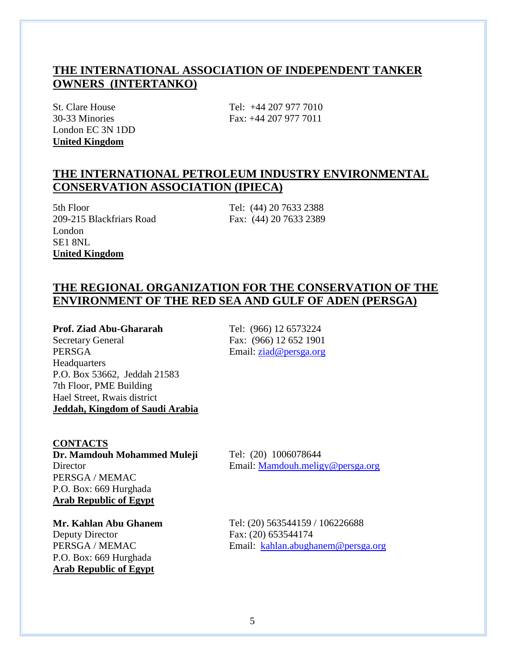### **THE INTERNATIONAL ASSOCIATION OF INDEPENDENT TANKER OWNERS (INTERTANKO)**

St. Clare House 30-33 Minories London EC 3N 1DD **United Kingdom**

Tel: +44 207 977 7010 Fax: +44 207 977 7011

## **THE INTERNATIONAL PETROLEUM INDUSTRY ENVIRONMENTAL CONSERVATION ASSOCIATION (IPIECA)**

5th Floor 209-215 Blackfriars Road London SE1 8NL **United Kingdom**

Tel: (44) 20 7633 2388 Fax: (44) 20 7633 2389

### **THE REGIONAL ORGANIZATION FOR THE CONSERVATION OF THE ENVIRONMENT OF THE RED SEA AND GULF OF ADEN (PERSGA)**

#### **Prof. Ziad Abu-Ghararah**

Secretary General PERSGA **Headquarters** P.O. Box 53662, Jeddah 21583 7th Floor, PME Building Hael Street, Rwais district **Jeddah, Kingdom of Saudi Arabia**

Tel: (966) 12 6573224 Fax: (966) 12 652 1901 Email: ziad@persga.org

#### **CONTACTS**

**Dr. Mamdouh Mohammed Muleji Director** PERSGA / MEMAC P.O. Box: 669 Hurghada **Arab Republic of Egypt**

**Mr. Kahlan Abu Ghanem** Deputy Director PERSGA / MEMAC P.O. Box: 669 Hurghada **Arab Republic of Egypt**

Tel: (20) 1006078644 Email: Mamdouh.meligy@persga.org

Tel: (20) 563544159 / 106226688 Fax: (20) 653544174 Email: [kahlan.abughanem@persga.org](mailto:kahlan.abughanem@persga.org)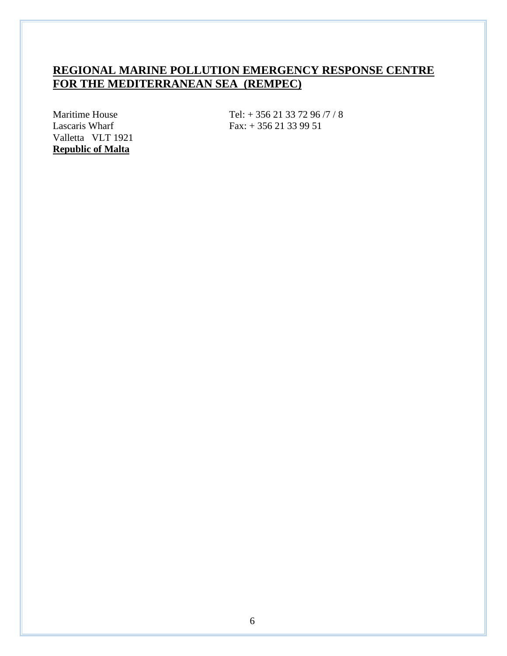# **REGIONAL MARINE POLLUTION EMERGENCY RESPONSE CENTRE FOR THE MEDITERRANEAN SEA (REMPEC)**

Maritime House Lascaris Wharf Valletta VLT 1921 **Republic of Malta**

Tel: + 356 21 33 72 96 /7 / 8 Fax: + 356 21 33 99 51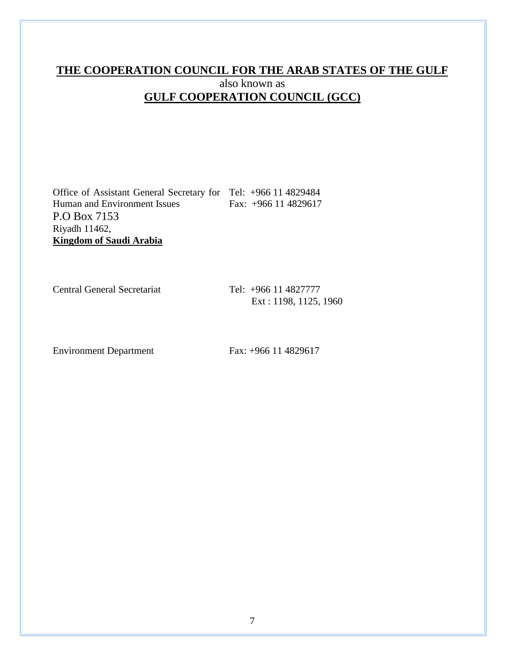# <span id="page-7-0"></span>**THE COOPERATION COUNCIL FOR THE ARAB STATES OF THE GULF**  also known as **GULF COOPERATION COUNCIL (GCC)**

Office of Assistant General Secretary for Tel: +966 11 4829484 Human and Environment Issues P.O Box 7153 Riyadh 11462, **Kingdom of Saudi Arabia** Fax: +966 11 4829617

Central General Secretariat Tel: +966 11 4827777

Ext : 1198, 1125, 1960

Environment Department Fax: +966 11 4829617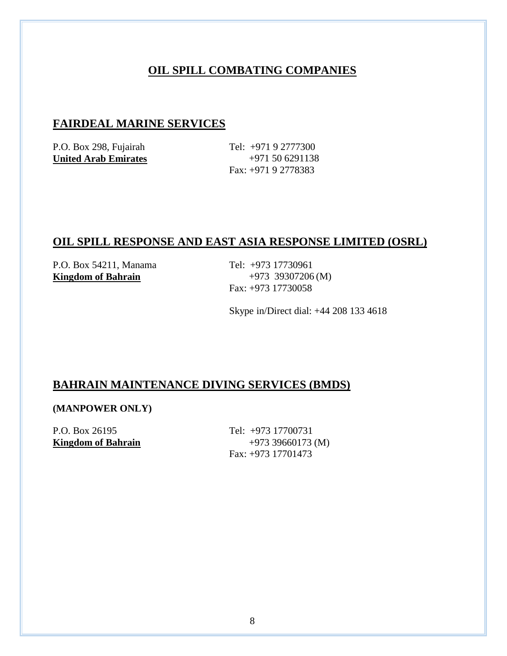### **OIL SPILL COMBATING COMPANIES**

### <span id="page-8-0"></span>**FAIRDEAL MARINE SERVICES**

P.O. Box 298, Fujairah **United Arab Emirates** Tel: +971 9 2777300 +971 50 6291138 Fax: +971 9 2778383

# **OIL SPILL RESPONSE AND EAST ASIA RESPONSE LIMITED (OSRL)**

P.O. Box 54211, Manama **Kingdom of Bahrain**

Tel: +973 17730961 +973 39307206 (M) Fax: +973 17730058

Skype in/Direct dial: +44 208 133 4618

### **BAHRAIN MAINTENANCE DIVING SERVICES (BMDS)**

**(MANPOWER ONLY)**

P.O. Box 26195 **Kingdom of Bahrain** Tel: +973 17700731 +973 39660173 (M) Fax: +973 17701473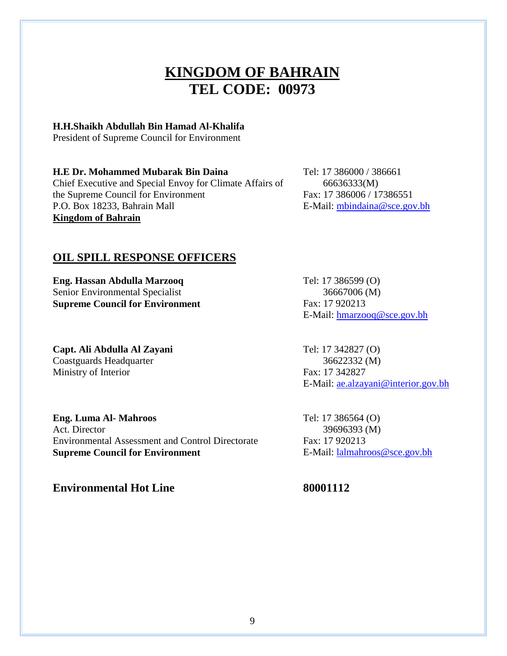# **KINGDOM OF BAHRAIN TEL CODE: 00973**

#### <span id="page-9-0"></span>**H.H.Shaikh Abdullah Bin Hamad Al-Khalifa**

President of Supreme Council for Environment

**H.E Dr. Mohammed Mubarak Bin Daina**  Chief Executive and Special Envoy for Climate Affairs of the Supreme Council for Environment P.O. Box 18233, Bahrain Mall **Kingdom of Bahrain**

Tel: 17 386000 / 386661 66636333(M) Fax: 17 386006 / 17386551 E-Mail: [mbindaina@sce.gov.bh](mailto:mbindaina@sce.gov.bh)

### **OIL SPILL RESPONSE OFFICERS**

**Eng. Hassan Abdulla Marzooq** Senior Environmental Specialist **Supreme Council for Environment**

**Capt. Ali Abdulla Al Zayani** Coastguards Headquarter Ministry of Interior

**Eng. Luma Al- Mahroos** Act. Director Environmental Assessment and Control Directorate **Supreme Council for Environment**

### **Environmental Hot Line 80001112**

Tel: 17 386599 (O) 36667006 (M) Fax: 17 920213 E-Mail: [hmarzooq@sce.gov.bh](mailto:marzooq@sce.gov.bh)

Tel: 17 342827 (O) 36622332 (M) Fax: 17 342827 E-Mail: ae.alzayani@interior.gov.bh

Tel: 17 386564 (O) 39696393 (M) Fax: 17 920213 E-Mail: [lalmahroos@sce.gov.bh](mailto:lalmahroos@sce.gov.bh)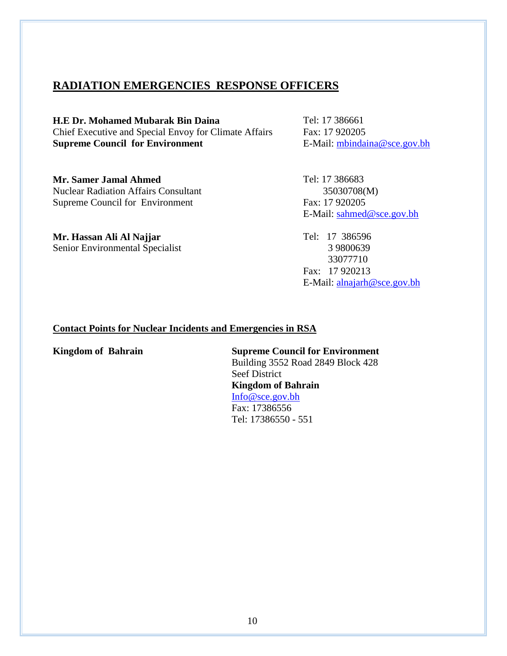### **RADIATION EMERGENCIES RESPONSE OFFICERS**

**H.E Dr. Mohamed Mubarak Bin Daina**  Chief Executive and Special Envoy for Climate Affairs **Supreme Council for Environment**

Tel: 17 386661 Fax: 17 920205 E-Mail: [mbindaina@sce.gov.bh](mailto:mbindaina@sce.gov.bh)

**Mr. Samer Jamal Ahmed** Nuclear Radiation Affairs Consultant Supreme Council for Environment

**Mr. Hassan Ali Al Najjar** Senior Environmental Specialist Tel: 17 386683 35030708(M) Fax: 17 920205 E-Mail: [sahmed@sce.gov.bh](mailto:sahmed@sce.gov.bh)

Tel: 17 386596 3 9800639 33077710 Fax: 17 920213 E-Mail: [alnajarh@sce.gov.bh](mailto:alnajarh@sce.gov.bh)

#### **Contact Points for Nuclear Incidents and Emergencies in RSA**

**Kingdom of Bahrain Supreme Council for Environment** Building 3552 Road 2849 Block 428 Seef District **Kingdom of Bahrain** [Info@sce.gov.bh](mailto:Info@sce.gov.bh) Fax: 17386556 Tel: 17386550 - 551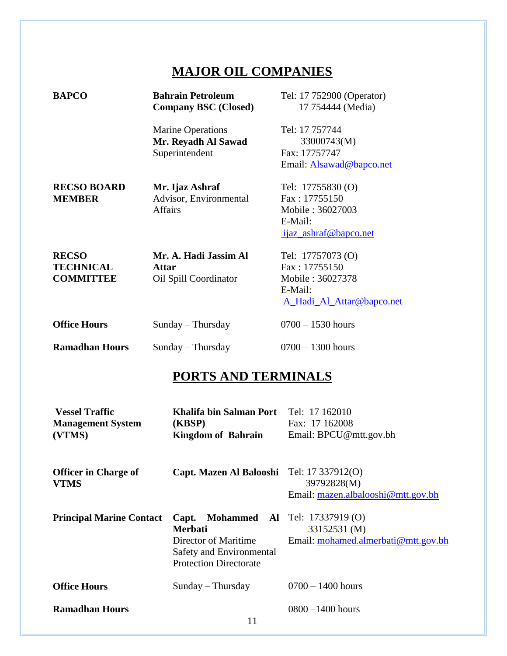# **MAJOR OIL COMPANIES**

| <b>BAPCO</b>                                         | <b>Bahrain Petroleum</b><br><b>Company BSC (Closed)</b>           | Tel: 17 752900 (Operator)<br>17 754444 (Media)                                                 |
|------------------------------------------------------|-------------------------------------------------------------------|------------------------------------------------------------------------------------------------|
|                                                      | <b>Marine Operations</b><br>Mr. Reyadh Al Sawad<br>Superintendent | Tel: 17 757744<br>33000743(M)<br>Fax: 17757747<br>Email: Alsawad@bapco.net                     |
| <b>RECSO BOARD</b><br><b>MEMBER</b>                  | Mr. Ijaz Ashraf<br>Advisor, Environmental<br><b>Affairs</b>       | Tel: 17755830 (O)<br>Fax: 17755150<br>Mobile: 36027003<br>E-Mail:<br>ijaz ashraf@bapco.net     |
| <b>RECSO</b><br><b>TECHNICAL</b><br><b>COMMITTEE</b> | Mr. A. Hadi Jassim Al<br><b>Attar</b><br>Oil Spill Coordinator    | Tel: 17757073 (O)<br>Fax: 17755150<br>Mobile: 36027378<br>E-Mail:<br>A Hadi Al Attar@bapco.net |
| <b>Office Hours</b>                                  | Sunday – Thursday                                                 | $0700 - 1530$ hours                                                                            |
| <b>Ramadhan Hours</b>                                | $Sunday - Thursday$                                               | $0700 - 1300$ hours                                                                            |

# **PORTS AND TERMINALS**

| <b>Vessel Traffic</b><br><b>Management System</b><br>(VTMS) | Khalifa bin Salman Port<br>(KBSP)<br><b>Kingdom of Bahrain</b>                                                                               | Tel: 17 162010<br>Fax: 17 162008<br>Email: BPCU@mtt.gov.bh |
|-------------------------------------------------------------|----------------------------------------------------------------------------------------------------------------------------------------------|------------------------------------------------------------|
| <b>Officer in Charge of</b><br><b>VTMS</b>                  | Capt. Mazen Al Balooshi Tel: $17\,337912(0)$                                                                                                 | 39792828(M)<br>Email: mazen.albalooshi@mtt.gov.bh          |
| <b>Principal Marine Contact</b>                             | Capt. Mohammed Al Tel: $17337919$ (O)<br><b>Merbati</b><br>Director of Maritime<br>Safety and Environmental<br><b>Protection Directorate</b> | 33152531 (M)<br>Email: mohamed.almerbati@mtt.gov.bh        |
| <b>Office Hours</b>                                         | Sunday – Thursday                                                                                                                            | $0700 - 1400$ hours                                        |
| <b>Ramadhan Hours</b>                                       | 11                                                                                                                                           | $0800 - 1400$ hours                                        |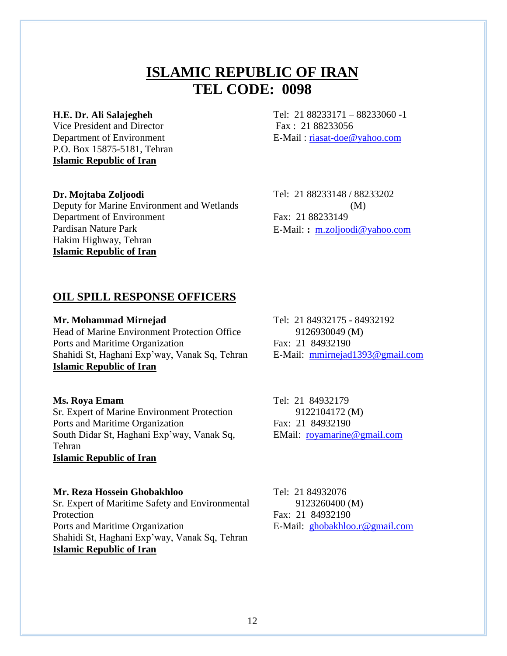# **ISLAMIC REPUBLIC OF IRAN TEL CODE: 0098**

#### <span id="page-12-0"></span>**H.E. Dr. Ali Salajegheh**

Vice President and Director Department of Environment P.O. Box 15875-5181, Tehran **Islamic Republic of Iran**

Tel: 21 88233171 – 88233060 -1 Fax : 21 88233056 E-Mail : [riasat-doe@yahoo.com](mailto:riasat-doe@yahoo.com)

#### **Dr. Mojtaba Zoljoodi**

Deputy for Marine Environment and Wetlands Department of Environment Pardisan Nature Park Hakim Highway, Tehran **Islamic Republic of Iran**

Tel: 21 88233148 / 88233202 (M) Fax: 21 88233149 E-Mail: **:** [m.zoljoodi@yahoo.com](mailto:m.zoljoodi@yahoo.com)

### **OIL SPILL RESPONSE OFFICERS**

#### **Mr. Mohammad Mirnejad**

Head of Marine Environment Protection Office Ports and Maritime Organization Shahidi St, Haghani Exp'way, Vanak Sq, Tehran **Islamic Republic of Iran**

Tel: 21 84932175 - 84932192 9126930049 (M) Fax: 21 84932190 E-Mail: [mmirnejad1393@gmail.com](mailto:mmirnejad1393@gmail.com)

### **Ms. Roya Emam** Sr. Expert of Marine Environment Protection

Ports and Maritime Organization South Didar St, Haghani Exp'way, Vanak Sq, Tehran **Islamic Republic of Iran**

#### **Mr. Reza Hossein Ghobakhloo**

Sr. Expert of Maritime Safety and Environmental Protection Ports and Maritime Organization Shahidi St, Haghani Exp'way, Vanak Sq, Tehran **Islamic Republic of Iran**

Tel: 21 84932179 9122104172 (M) Fax: 21 84932190 EMail: [royamarine@gmail.com](mailto:royamarine@gmail.com)

Tel: 21 84932076 9123260400 (M) Fax: 21 84932190 E-Mail: ghobakhloo.r@gmail.com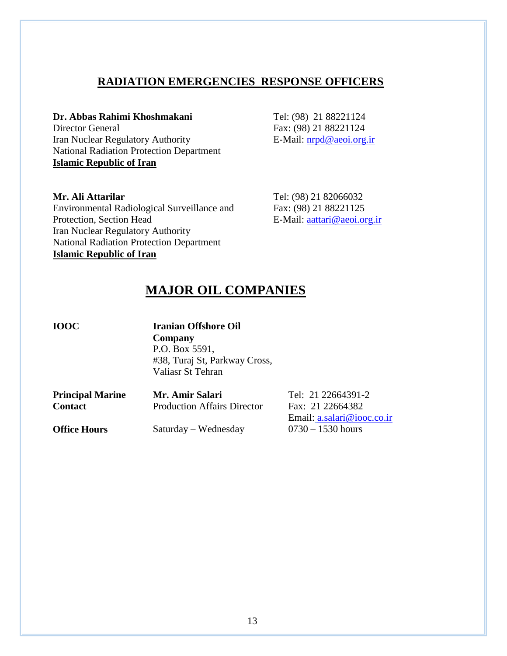### **RADIATION EMERGENCIES RESPONSE OFFICERS**

**Dr. Abbas Rahimi Khoshmakani**

Director General Iran Nuclear Regulatory Authority National Radiation Protection Department **Islamic Republic of Iran**

Tel: (98) 21 88221124 Fax: (98) 21 88221124 E-Mail: nrpd@aeoi.org.ir

**Mr. Ali Attarilar** Environmental Radiological Surveillance and Protection, Section Head Iran Nuclear Regulatory Authority National Radiation Protection Department **Islamic Republic of Iran**

Tel: (98) 21 82066032 Fax: (98) 21 88221125 E-Mail: [aattari@aeoi.org.ir](mailto:aattari@aeoi.org.ir)

# **MAJOR OIL COMPANIES**

| <b>IOOC</b>             | <b>Iranian Offshore Oil</b>        |                            |  |
|-------------------------|------------------------------------|----------------------------|--|
|                         | Company                            |                            |  |
|                         | P.O. Box 5591,                     |                            |  |
|                         | #38, Turaj St, Parkway Cross,      |                            |  |
|                         | Valiasr St Tehran                  |                            |  |
| <b>Principal Marine</b> | Mr. Amir Salari                    | Tel: 21 22664391-2         |  |
| <b>Contact</b>          | <b>Production Affairs Director</b> | Fax: 21 22664382           |  |
|                         |                                    | Email: a.salari@iooc.co.ir |  |

**Office Hours** Saturday – Wednesday 0730 – 1530 hours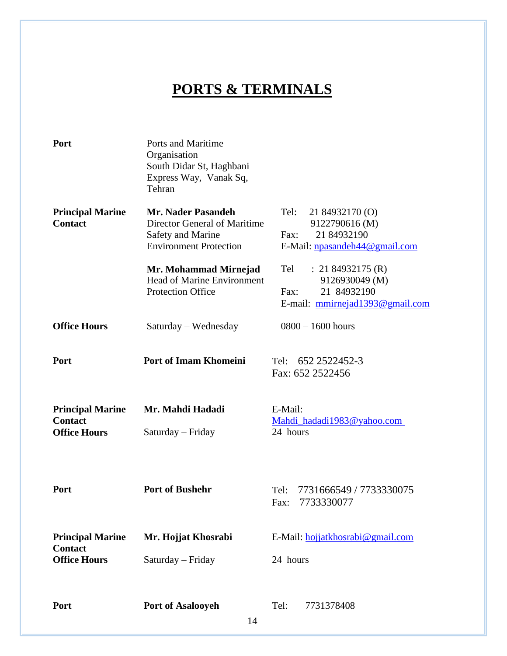# **PORTS & TERMINALS**

| Port                                                             | Ports and Maritime<br>Organisation<br>South Didar St, Haghbani<br>Express Way, Vanak Sq,<br>Tehran                                                                                                        |                                                                                                                                                                                                                            |
|------------------------------------------------------------------|-----------------------------------------------------------------------------------------------------------------------------------------------------------------------------------------------------------|----------------------------------------------------------------------------------------------------------------------------------------------------------------------------------------------------------------------------|
| <b>Principal Marine</b><br><b>Contact</b>                        | Mr. Nader Pasandeh<br>Director General of Maritime<br><b>Safety and Marine</b><br><b>Environment Protection</b><br>Mr. Mohammad Mirnejad<br><b>Head of Marine Environment</b><br><b>Protection Office</b> | Tel:<br>21 84932170 (O)<br>9122790616 (M)<br>21 84932190<br>Fax:<br>E-Mail: <i>npasandeh44@gmail.com</i><br>Tel<br>$: 2184932175$ (R)<br>9126930049 (M)<br>21 84932190<br>$\text{Fax}:$<br>E-mail: mmirnejad1393@gmail.com |
| <b>Office Hours</b>                                              | Saturday – Wednesday                                                                                                                                                                                      | $0800 - 1600$ hours                                                                                                                                                                                                        |
| Port                                                             | <b>Port of Imam Khomeini</b>                                                                                                                                                                              | 652 2522452-3<br>Tel:<br>Fax: 652 2522456                                                                                                                                                                                  |
| <b>Principal Marine</b><br><b>Contact</b><br><b>Office Hours</b> | Mr. Mahdi Hadadi<br>Saturday – Friday                                                                                                                                                                     | E-Mail:<br>Mahdi_hadadi1983@yahoo.com<br>24 hours                                                                                                                                                                          |
| Port                                                             | <b>Port of Bushehr</b>                                                                                                                                                                                    | 7731666549 / 7733330075<br>Tel:<br>7733330077<br>Fax:                                                                                                                                                                      |
| <b>Principal Marine</b><br><b>Contact</b>                        | Mr. Hojjat Khosrabi                                                                                                                                                                                       | E-Mail: hojjatkhosrabi@gmail.com                                                                                                                                                                                           |
| <b>Office Hours</b>                                              | Saturday – Friday                                                                                                                                                                                         | 24 hours                                                                                                                                                                                                                   |
| Port                                                             | <b>Port of Asalooyeh</b><br>14                                                                                                                                                                            | Tel:<br>7731378408                                                                                                                                                                                                         |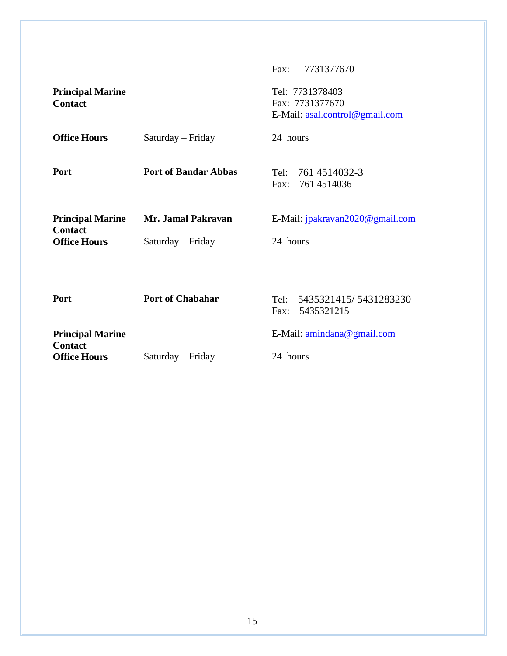|                                           |                             | 7731377670<br>Fax:                                                   |
|-------------------------------------------|-----------------------------|----------------------------------------------------------------------|
| <b>Principal Marine</b><br><b>Contact</b> |                             | Tel: 7731378403<br>Fax: 7731377670<br>E-Mail: asal.control@gmail.com |
| <b>Office Hours</b>                       | Saturday – Friday           | 24 hours                                                             |
| Port                                      | <b>Port of Bandar Abbas</b> | Tel: 761 4514032-3<br>Fax: 761 4514036                               |
| <b>Principal Marine</b>                   | Mr. Jamal Pakravan          | E-Mail: jpakravan2020@gmail.com                                      |
| <b>Contact</b><br><b>Office Hours</b>     | Saturday – Friday           | 24 hours                                                             |
|                                           |                             |                                                                      |
| <b>Port</b>                               | <b>Port of Chabahar</b>     | Tel: 5435321415/5431283230<br>5435321215<br>$\text{Fax}:$            |
|                                           |                             |                                                                      |

| <b>Principal Marine</b> |                   | E-Mail: $\text{amindana}\& \text{gmail.com}$ |
|-------------------------|-------------------|----------------------------------------------|
| <b>Contact</b>          |                   |                                              |
| <b>Office Hours</b>     | Saturday – Friday | 24 hours                                     |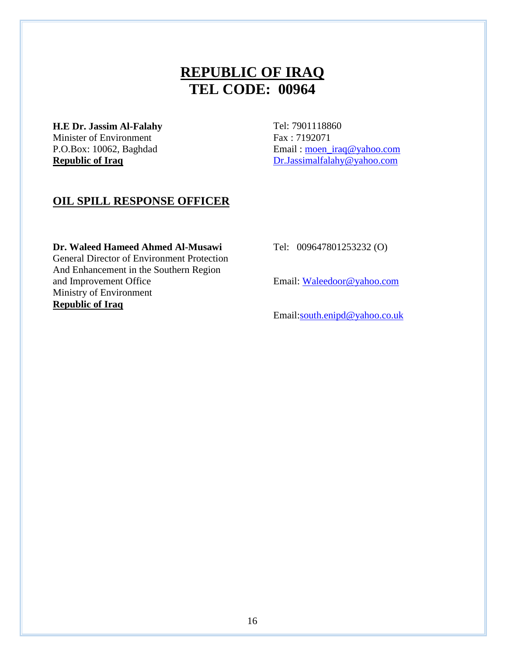# **REPUBLIC OF IRAQ TEL CODE: 00964**

### <span id="page-16-0"></span>**H.E Dr. Jassim Al-Falahy**

Minister of Environment P.O.Box: 10062, Baghdad **Republic of Iraq**

Tel: 7901118860 Fax : 7192071 Email : [moen\\_iraq@yahoo.com](mailto:moen_iraq@yahoo.com) [Dr.Jassimalfalahy@yahoo.com](mailto:Dr.Jassimalfalahy@yahoo.com)

# **OIL SPILL RESPONSE OFFICER**

#### **Dr. Waleed Hameed Ahmed Al-Musawi**

General Director of Environment Protection And Enhancement in the Southern Region and Improvement Office Ministry of Environment **Republic of Iraq**

Tel: 009647801253232 (O)

Email: [Waleedoor@yahoo.com](mailto:Waleedoor@yahoo.com)

Email[:south.enipd@yahoo.co.uk](mailto:south.enipd@yahoo.co.uk)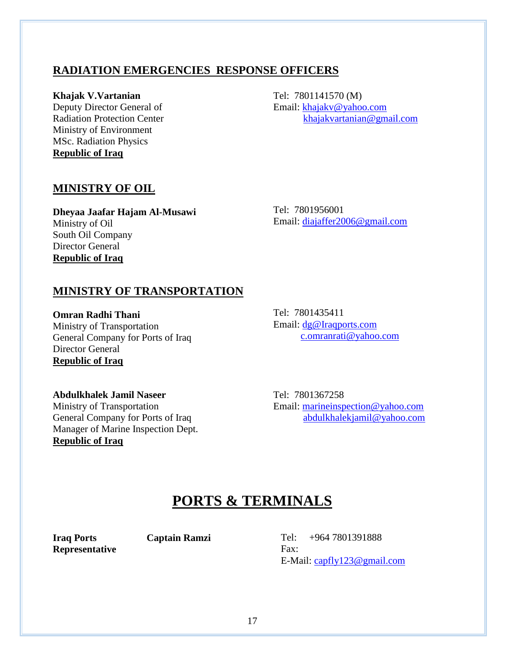### **RADIATION EMERGENCIES RESPONSE OFFICERS**

**Khajak V.Vartanian** Deputy Director General of Radiation Protection Center Ministry of Environment MSc. Radiation Physics **Republic of Iraq**

Tel: 7801141570 (M) Email: [khajakv@yahoo.com](mailto:khajakv@yahoo.com) [khajakvartanian@gmail.com](mailto:khajakvartanian@gmail.com)

### **MINISTRY OF OIL**

**Dheyaa Jaafar Hajam Al-Musawi** Ministry of Oil South Oil Company Director General **Republic of Iraq**

Tel: 7801956001 Email: [diajaffer2006@gmail.com](mailto:diajaffer2006@gmail.com)

### **MINISTRY OF TRANSPORTATION**

**Omran Radhi Thani** Ministry of Transportation General Company for Ports of Iraq Director General **Republic of Iraq**

Tel: 7801435411 Email: [dg@Iraqports.com](mailto:dg@iraqports.com) [c.omranrati@yahoo.com](mailto:c.omranrati@yahoo.com)

#### **Abdulkhalek Jamil Naseer** Ministry of Transportation General Company for Ports of Iraq Manager of Marine Inspection Dept. **Republic of Iraq**

Tel: 7801367258 Email: [marineinspection@yahoo.com](mailto:marineinspection@yahoo.com) [abdulkhalekjamil@yahoo.com](mailto:abdulkhalekjamil@yahoo.com)

# **PORTS & TERMINALS**

**Iraq Ports Representative**

**Captain Ramzi** Tel: +964 7801391888 Fax: E-Mail: [capfly123@gmail.com](mailto:capfly123@gmail.com)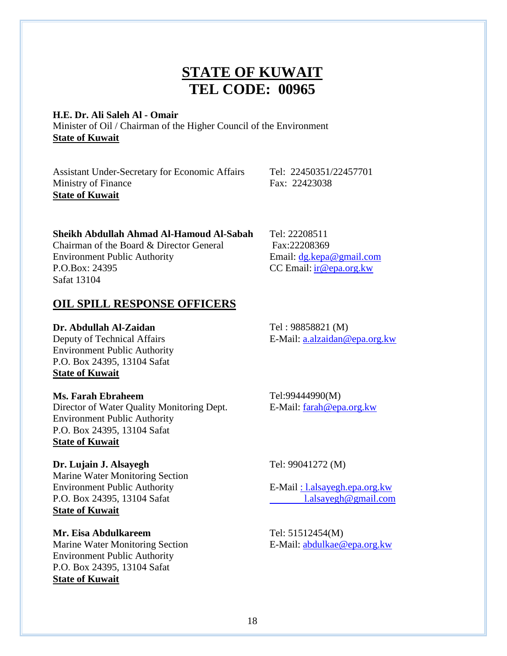# 18

# **STATE OF KUWAIT TEL CODE: 00965**

### <span id="page-18-0"></span>**H.E. Dr. Ali Saleh Al - Omair**

Minister of Oil / Chairman of the Higher Council of the Environment **State of Kuwait**

Assistant Under-Secretary for Economic Affairs Ministry of Finance **State of Kuwait**

Tel: 22450351/22457701 Fax: 22423038

Tel: 22208511 Fax:22208369

#### **Sheikh Abdullah Ahmad Al-Hamoud Al-Sabah**

Chairman of the Board & Director General Environment Public Authority P.O.Box: 24395 Safat 13104

# **OIL SPILL RESPONSE OFFICERS**

### **Dr. Abdullah Al-Zaidan**

Deputy of Technical Affairs Environment Public Authority P.O. Box 24395, 13104 Safat **State of Kuwait**

### **Ms. Farah Ebraheem**

Director of Water Quality Monitoring Dept. Environment Public Authority P.O. Box 24395, 13104 Safat **State of Kuwait**

### **Dr. Lujain J. Alsayegh**

Marine Water Monitoring Section Environment Public Authority P.O. Box 24395, 13104 Safat **State of Kuwait**

**Mr. Eisa Abdulkareem** Marine Water Monitoring Section Environment Public Authority P.O. Box 24395, 13104 Safat **State of Kuwait**

Tel : 98858821 (M) E-Mail: [a.alzaidan@epa.org.kw](mailto:a.alzaidan@epa.org.kw)

Tel:99444990(M) E-Mail: [farah@epa.org.kw](mailto:farah@epa.org.kw)

Tel: 99041272 (M)

E-Mail : l.alsayegh.epa.org.kw l.alsayegh@gmail.com

Tel: 51512454(M) E-Mail: abdulkae@epa.org.kw

Email: [dg.kepa@gmail.com](mailto:dg.kepa@gmail.com)  CC Email: [ir@epa.org.kw](mailto:ir@epa.org.kw)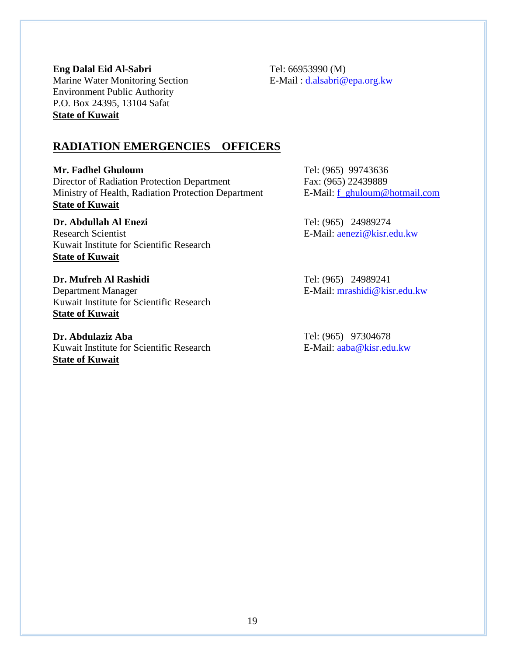**Eng Dalal Eid Al-Sabri** Marine Water Monitoring Section Environment Public Authority P.O. Box 24395, 13104 Safat **State of Kuwait**

Tel: 66953990 (M) E-Mail : d.alsabri@epa.org.kw

### **RADIATION EMERGENCIES OFFICERS**

**Mr. Fadhel Ghuloum** Director of Radiation Protection Department Ministry of Health, Radiation Protection Department **State of Kuwait**

**Dr. Abdullah Al Enezi** Research Scientist Kuwait Institute for Scientific Research **State of Kuwait**

**Dr. Mufreh Al Rashidi** Department Manager Kuwait Institute for Scientific Research **State of Kuwait**

**Dr. Abdulaziz Aba** Kuwait Institute for Scientific Research **State of Kuwait**

Tel: (965) 99743636 Fax: (965) 22439889 E-Mail: [f\\_ghuloum@hotmail.com](mailto:f_ghuloum@hotmail.com)

Tel: (965) 24989274 E-Mail: aenezi@kisr.edu.kw

Tel: (965) 24989241 E-Mail: mrashidi@kisr.edu.kw

Tel: (965) 97304678 E-Mail: aaba@kisr.edu.kw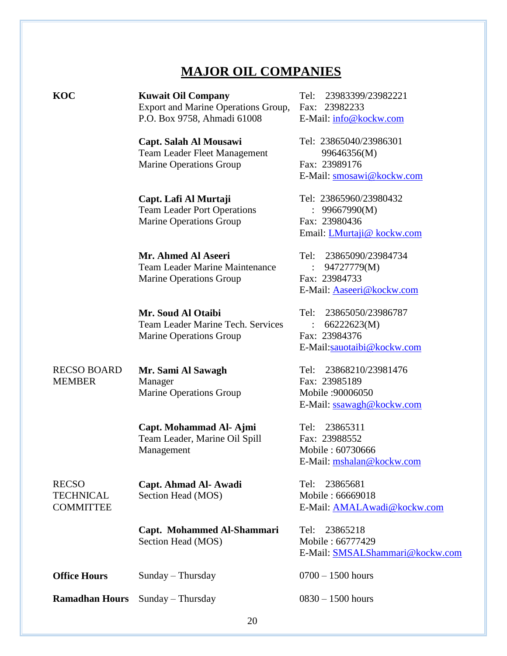# **MAJOR OIL COMPANIES**

| <b>KOC</b>                                           | <b>Kuwait Oil Company</b><br>Export and Marine Operations Group,<br>P.O. Box 9758, Ahmadi 61008 | 23983399/23982221<br>Tel:<br>Fax: 23982233<br>E-Mail: info@kockw.com                            |
|------------------------------------------------------|-------------------------------------------------------------------------------------------------|-------------------------------------------------------------------------------------------------|
|                                                      | Capt. Salah Al Mousawi<br><b>Team Leader Fleet Management</b><br><b>Marine Operations Group</b> | Tel: 23865040/23986301<br>99646356(M)<br>Fax: 23989176<br>E-Mail: smosawi@kockw.com             |
|                                                      | Capt. Lafi Al Murtaji<br><b>Team Leader Port Operations</b><br><b>Marine Operations Group</b>   | Tel: 23865960/23980432<br>: $99667990(M)$<br>Fax: 23980436<br>Email: <i>LMurtaji@</i> kockw.com |
|                                                      | Mr. Ahmed Al Aseeri<br><b>Team Leader Marine Maintenance</b><br><b>Marine Operations Group</b>  | Tel:<br>23865090/23984734<br>94727779(M)<br>Fax: 23984733<br>E-Mail: Aaseeri@kockw.com          |
|                                                      | Mr. Soud Al Otaibi<br><b>Team Leader Marine Tech. Services</b><br>Marine Operations Group       | 23865050/23986787<br>Tel:<br>66222623(M)<br>Fax: 23984376<br>E-Mail:sauotaibi@kockw.com         |
| <b>RECSO BOARD</b><br><b>MEMBER</b>                  | Mr. Sami Al Sawagh<br>Manager<br><b>Marine Operations Group</b>                                 | 23868210/23981476<br>Tel:<br>Fax: 23985189<br>Mobile: 90006050<br>E-Mail: ssawagh@kockw.com     |
|                                                      | Capt. Mohammad Al- Ajmi<br>Team Leader, Marine Oil Spill<br>Management                          | 23865311<br>Tel:<br>Fax: 23988552<br>Mobile: 60730666<br>E-Mail: mshalan@kockw.com              |
| <b>RECSO</b><br><b>TECHNICAL</b><br><b>COMMITTEE</b> | Capt. Ahmad Al- Awadi<br>Section Head (MOS)                                                     | Tel:<br>23865681<br>Mobile: 66669018<br>E-Mail: AMALAwadi@kockw.com                             |
|                                                      | Capt. Mohammed Al-Shammari<br>Section Head (MOS)                                                | 23865218<br>Tel:<br>Mobile: 66777429<br>E-Mail: SMSALShammari@kockw.com                         |
| <b>Office Hours</b>                                  | Sunday – Thursday                                                                               | $0700 - 1500$ hours                                                                             |
| <b>Ramadhan Hours</b>                                | Sunday – Thursday                                                                               | $0830 - 1500$ hours                                                                             |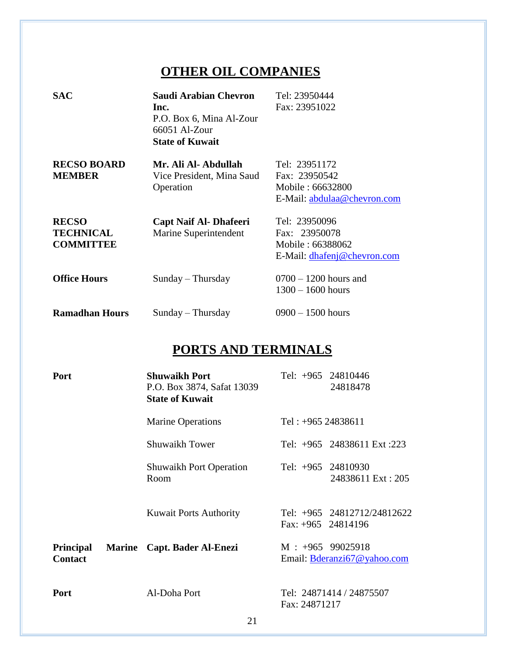# **OTHER OIL COMPANIES**

| <b>SAC</b>                                           | Saudi Arabian Chevron<br>Inc.<br>P.O. Box 6, Mina Al-Zour<br>66051 Al-Zour<br><b>State of Kuwait</b> | Tel: 23950444<br>Fax: 23951022                                                    |
|------------------------------------------------------|------------------------------------------------------------------------------------------------------|-----------------------------------------------------------------------------------|
| <b>RECSO BOARD</b><br><b>MEMBER</b>                  | Mr. Ali Al- Abdullah<br>Vice President, Mina Saud<br>Operation                                       | Tel: 23951172<br>Fax: 23950542<br>Mobile: 66632800<br>E-Mail: abdulaa@chevron.com |
| <b>RECSO</b><br><b>TECHNICAL</b><br><b>COMMITTEE</b> | Capt Naif Al- Dhafeeri<br>Marine Superintendent                                                      | Tel: 23950096<br>Fax: 23950078<br>Mobile: 66388062<br>E-Mail: dhafenj@chevron.com |
| <b>Office Hours</b>                                  | $Sunday - Thursday$                                                                                  | $0700 - 1200$ hours and<br>$1300 - 1600$ hours                                    |
| <b>Ramadhan Hours</b>                                | $Sunday - Thursday$                                                                                  | $0900 - 1500$ hours                                                               |

# **PORTS AND TERMINALS**

| <b>Port</b>                        | <b>Shuwaikh Port</b><br>P.O. Box 3874, Safat 13039<br><b>State of Kuwait</b> |              | Tel: $+965$ 24810446 | 24818478                    |
|------------------------------------|------------------------------------------------------------------------------|--------------|----------------------|-----------------------------|
|                                    | <b>Marine Operations</b>                                                     |              | Tel: $+965$ 24838611 |                             |
|                                    | <b>Shuwaikh Tower</b>                                                        |              |                      | Tel: +965 24838611 Ext: 223 |
|                                    | <b>Shuwaikh Port Operation</b><br>Room                                       |              | Tel: $+965$ 24810930 | 24838611 Ext: 205           |
|                                    | <b>Kuwait Ports Authority</b>                                                |              | Fax: $+965$ 24814196 | Tel: +965 24812712/24812622 |
| <b>Principal</b><br><b>Contact</b> | Marine Capt. Bader Al-Enezi                                                  |              | $M : +965$ 99025918  | Email: Bderanzi67@yahoo.com |
| Port                               | Al-Doha Port                                                                 | $^{\circ}$ 1 | Fax: 24871217        | Tel: 24871414 / 24875507    |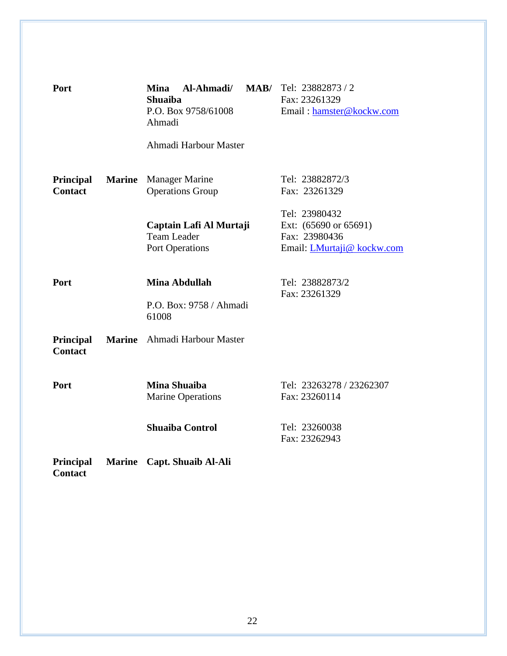| Port                               |               | Al-Ahmadi/<br><b>Mina</b><br><b>Shuaiba</b><br>P.O. Box 9758/61008<br>Ahmadi | <b>MAB</b> / Tel: 23882873/2<br>Fax: 23261329<br>Email: hamster@kockw.com                    |
|------------------------------------|---------------|------------------------------------------------------------------------------|----------------------------------------------------------------------------------------------|
|                                    |               | Ahmadi Harbour Master                                                        |                                                                                              |
| Principal<br><b>Contact</b>        | <b>Marine</b> | <b>Manager Marine</b><br><b>Operations Group</b>                             | Tel: 23882872/3<br>Fax: 23261329                                                             |
|                                    |               | Captain Lafi Al Murtaji<br><b>Team Leader</b><br><b>Port Operations</b>      | Tel: 23980432<br>Ext: (65690 or 65691)<br>Fax: 23980436<br>Email: <i>LMurtaji@</i> kockw.com |
| Port                               |               | <b>Mina Abdullah</b><br>P.O. Box: 9758 / Ahmadi<br>61008                     | Tel: 23882873/2<br>Fax: 23261329                                                             |
| <b>Principal</b><br><b>Contact</b> |               | Marine Ahmadi Harbour Master                                                 |                                                                                              |
| Port                               |               | <b>Mina Shuaiba</b><br><b>Marine Operations</b>                              | Tel: 23263278 / 23262307<br>Fax: 23260114                                                    |
|                                    |               | <b>Shuaiba Control</b>                                                       | Tel: 23260038<br>Fax: 23262943                                                               |
| <b>Principal</b><br><b>Contact</b> | <b>Marine</b> | <b>Capt. Shuaib Al-Ali</b>                                                   |                                                                                              |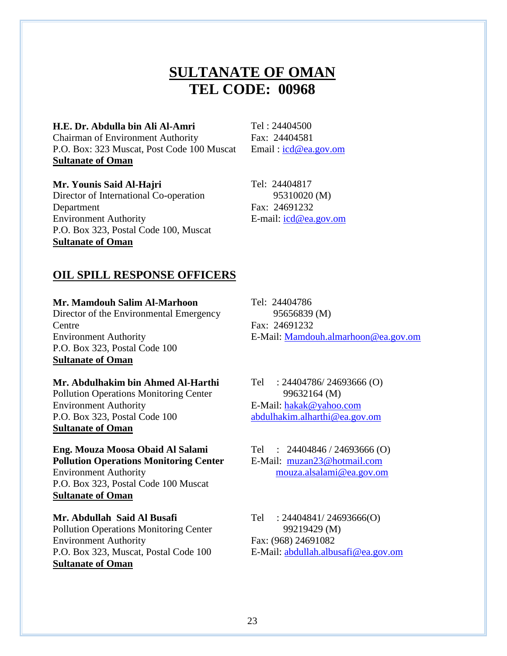# **SULTANATE OF OMAN TEL CODE: 00968**

#### <span id="page-23-0"></span>**H.E. Dr. Abdulla bin Ali Al-Amri**

Chairman of Environment Authority P.O. Box: 323 Muscat, Post Code 100 Muscat **Sultanate of Oman**

Tel : 24404500 Fax: 24404581 Email : icd@ea.gov.om

**Mr. Younis Said Al-Hajri** Director of International Co-operation Department Environment Authority P.O. Box 323, Postal Code 100, Muscat **Sultanate of Oman**

Tel: 24404817 95310020 (M) Fax: 24691232 E-mail: icd@ea.gov.om

### **OIL SPILL RESPONSE OFFICERS**

#### **Mr. Mamdouh Salim Al-Marhoon**

Director of the Environmental Emergency **Centre** Environment Authority P.O. Box 323, Postal Code 100 **Sultanate of Oman**

#### **Mr. Abdulhakim bin Ahmed Al-Harthi**

Pollution Operations Monitoring Center Environment Authority P.O. Box 323, Postal Code 100 **Sultanate of Oman**

#### **Eng. Mouza Moosa Obaid Al Salami Pollution Operations Monitoring Center**

Environment Authority P.O. Box 323, Postal Code 100 Muscat **Sultanate of Oman**

**Mr. Abdullah Said Al Busafi** Pollution Operations Monitoring Center Environment Authority P.O. Box 323, Muscat, Postal Code 100 **Sultanate of Oman**

Tel: 24404786 95656839 (M) Fax: 24691232 E-Mail: Mamdouh.almarhoon@ea.gov.om

Tel : 24404786/ 24693666 (O) 99632164 (M) E-Mail: [hakak@yahoo.com](mailto:hakak@yahoo.com)  abdulhakim.alharthi@ea.gov.om

Tel : 24404846 / 24693666 (O) E-Mail: muzan23@hotmail.com mouza[.alsalami@ea.gov.om](mailto:alsalami@ea.gov.om)

Tel : 24404841/ 24693666(O) 99219429 (M) Fax: (968) 24691082 E-Mail: abdullah.a[lbusafi@ea.gov.om](mailto:busafi@ea.gov.om)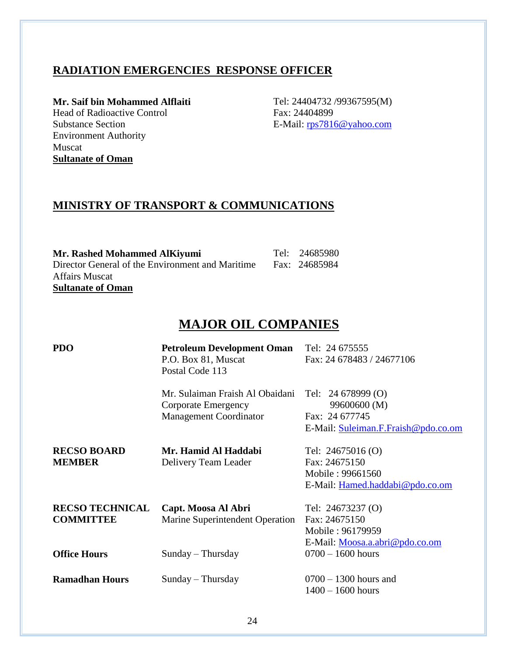# **RADIATION EMERGENCIES RESPONSE OFFICER**

**Mr. Saif bin Mohammed Alflaiti**  Head of Radioactive Control Substance Section Environment Authority Muscat **Sultanate of Oman**

Tel: 24404732 /99367595(M) Fax: 24404899 E-Mail: [rps7816@yahoo.com](mailto:rps7816@yahoo.com)

### **MINISTRY OF TRANSPORT & COMMUNICATIONS**

| Mr. Rashed Mohammed AlKiyumi                     | Tel: 24685980 |
|--------------------------------------------------|---------------|
| Director General of the Environment and Maritime | Fax: 24685984 |
| <b>Affairs Muscat</b>                            |               |
| <b>Sultanate of Oman</b>                         |               |

# **MAJOR OIL COMPANIES**

| <b>PDO</b>                                 | <b>Petroleum Development Oman</b><br>P.O. Box 81, Muscat<br>Postal Code 113             | Tel: 24 675555<br>Fax: 24 678483 / 24677106                                                     |
|--------------------------------------------|-----------------------------------------------------------------------------------------|-------------------------------------------------------------------------------------------------|
|                                            | Mr. Sulaiman Fraish Al Obaidani<br>Corporate Emergency<br><b>Management Coordinator</b> | Tel: $24\,678999\,(O)$<br>99600600 (M)<br>Fax: 24 677745<br>E-Mail: Suleiman.F.Fraish@pdo.co.om |
| <b>RECSO BOARD</b><br><b>MEMBER</b>        | Mr. Hamid Al Haddabi<br>Delivery Team Leader                                            | Tel: $24675016$ (O)<br>Fax: 24675150<br>Mobile: 99661560<br>E-Mail: Hamed.haddabi@pdo.co.om     |
| <b>RECSO TECHNICAL</b><br><b>COMMITTEE</b> | Capt. Moosa Al Abri<br>Marine Superintendent Operation                                  | Tel: 24673237 (O)<br>Fax: 24675150<br>Mobile: 96179959<br>E-Mail: Moosa.a.abri@pdo.co.om        |
| <b>Office Hours</b>                        | Sunday – Thursday                                                                       | $0700 - 1600$ hours                                                                             |
| <b>Ramadhan Hours</b>                      | Sunday – Thursday                                                                       | $0700 - 1300$ hours and<br>$1400 - 1600$ hours                                                  |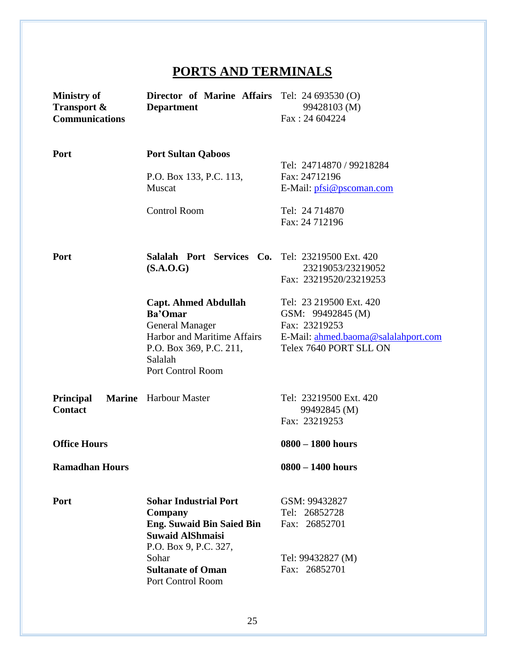# **PORTS AND TERMINALS**

| <b>Ministry of</b><br><b>Transport &amp;</b><br><b>Communications</b> | Director of Marine Affairs Tel: $24\,693530\,(O)$<br><b>Department</b>                                                                                                                    | 99428103 (M)<br>Fax: 24 604224                                                                                                 |
|-----------------------------------------------------------------------|-------------------------------------------------------------------------------------------------------------------------------------------------------------------------------------------|--------------------------------------------------------------------------------------------------------------------------------|
| Port                                                                  | <b>Port Sultan Qaboos</b><br>P.O. Box 133, P.C. 113,<br>Muscat<br><b>Control Room</b>                                                                                                     | Tel: 24714870 / 99218284<br>Fax: 24712196<br>E-Mail: pfsi@pscoman.com<br>Tel: 24 714870                                        |
| <b>Port</b>                                                           | Salalah Port Services Co.<br>(S.A.O.G)                                                                                                                                                    | Fax: 24 712196<br>Tel: 23219500 Ext. 420<br>23219053/23219052<br>Fax: 23219520/23219253                                        |
|                                                                       | <b>Capt. Ahmed Abdullah</b><br><b>Ba'Omar</b><br><b>General Manager</b><br>Harbor and Maritime Affairs<br>P.O. Box 369, P.C. 211,<br>Salalah<br>Port Control Room                         | Tel: 23 219500 Ext. 420<br>GSM: 99492845 (M)<br>Fax: 23219253<br>E-Mail: ahmed.baoma@salalahport.com<br>Telex 7640 PORT SLL ON |
| Principal<br><b>Contact</b>                                           | <b>Marine</b> Harbour Master                                                                                                                                                              | Tel: 23219500 Ext. 420<br>99492845 (M)<br>Fax: 23219253                                                                        |
| <b>Office Hours</b>                                                   |                                                                                                                                                                                           | $0800 - 1800$ hours                                                                                                            |
| <b>Ramadhan Hours</b>                                                 |                                                                                                                                                                                           | $0800 - 1400$ hours                                                                                                            |
| Port                                                                  | <b>Sohar Industrial Port</b><br>Company<br><b>Eng. Suwaid Bin Saied Bin</b><br><b>Suwaid AlShmaisi</b><br>P.O. Box 9, P.C. 327,<br>Sohar<br><b>Sultanate of Oman</b><br>Port Control Room | GSM: 99432827<br>Tel: 26852728<br>Fax: 26852701<br>Tel: 99432827 (M)<br>Fax: 26852701                                          |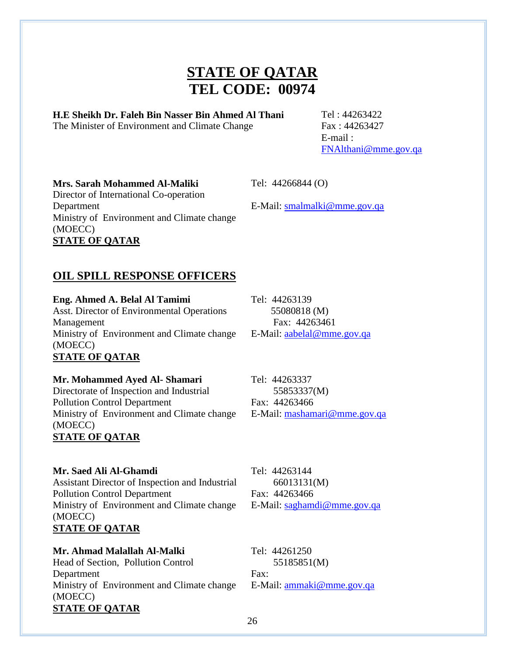# **STATE OF QATAR TEL CODE: 00974**

<span id="page-26-0"></span>**H.E Sheikh Dr. Faleh Bin Nasser Bin Ahmed Al Thani**

The Minister of Environment and Climate Change

Tel : 44263422 Fax : 44263427 E-mail : [FNAlthani@mme.gov.qa](mailto:FNAlthani@mme.gov.qa)

#### **Mrs. Sarah Mohammed Al-Maliki**

Director of International Co-operation Department Ministry of Environment and Climate change (MOECC) **STATE OF QATAR**

Tel: 44266844 (O)

E-Mail: smalmalki@mme.gov.qa

### **OIL SPILL RESPONSE OFFICERS**

**Eng. Ahmed A. Belal Al Tamimi** Asst. Director of Environmental Operations Management Ministry of Environment and Climate change (MOECC) **STATE OF QATAR**

Tel: 44263139 55080818 (M) Fax: 44263461 E-Mail: [aabelal@mme.gov.qa](mailto:aabelal@mme.gov.qa)

**Mr. Mohammed Ayed Al- Shamari** Directorate of Inspection and Industrial Pollution Control Department Ministry of Environment and Climate change (MOECC) **STATE OF QATAR**

Tel: 44263337 55853337(M) Fax: 44263466 E-Mail: [mashamari@mme.gov.qa](mailto:mashamari@mme.gov.qa)

**Mr. Saed Ali Al-Ghamdi** Assistant Director of Inspection and Industrial Pollution Control Department Ministry of Environment and Climate change (MOECC) **STATE OF QATAR**

**Mr. Ahmad Malallah Al-Malki** Head of Section, Pollution Control Department Ministry of Environment and Climate change (MOECC) **STATE OF QATAR**

Tel: 44263144 66013131(M) Fax: 44263466 E-Mail: [saghamdi@mme.gov.qa](mailto:saghamdi@mme.gov.qa)

Tel: 44261250 55185851(M) Fax: E-Mail: ammaki@mme.gov.qa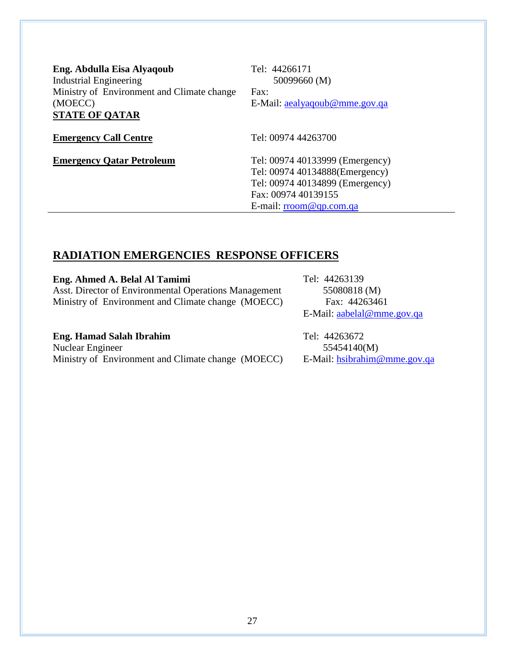**Eng. Abdulla Eisa Alyaqoub** Industrial Engineering Ministry of Environment and Climate change (MOECC) **STATE OF QATAR**

Tel: 44266171 50099660 (M) Fax: E-Mail: aealyaqoub@mme.gov.qa

**Emergency Call Centre** Tel: 00974 44263700

**Emergency Qatar Petroleum** Tel: 00974 40133999 (Emergency) Tel: 00974 40134888(Emergency) Tel: 00974 40134899 (Emergency) Fax: 00974 40139155 E-mail: [rroom@qp.com.qa](mailto:rroom@qp.com.qa)

# **RADIATION EMERGENCIES RESPONSE OFFICERS**

| Eng. Ahmed A. Belal Al Tamimi<br>Asst. Director of Environmental Operations Management<br>Ministry of Environment and Climate change (MOECC) | Tel: 44263139<br>55080818 (M)<br>Fax: 44263461<br>E-Mail: aabelal@mme.gov.qa |
|----------------------------------------------------------------------------------------------------------------------------------------------|------------------------------------------------------------------------------|
| <b>Eng. Hamad Salah Ibrahim</b>                                                                                                              | Tel: 44263672                                                                |
| Nuclear Engineer                                                                                                                             | 55454140(M)                                                                  |
| Ministry of Environment and Climate change (MOECC)                                                                                           | E-Mail: hsibrahim@mme.gov.qa                                                 |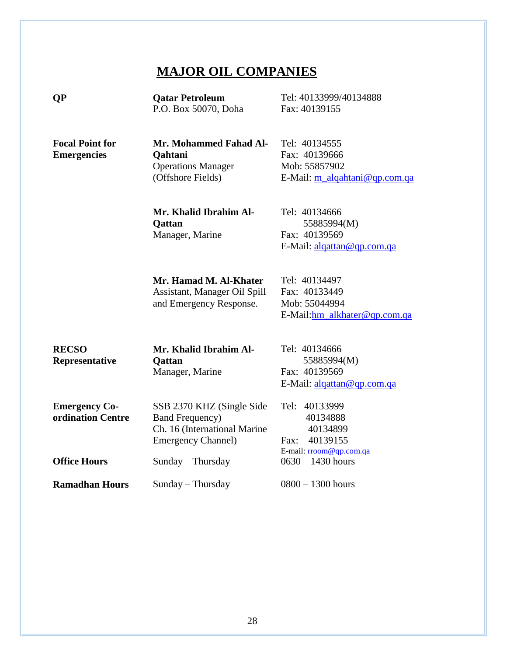# **MAJOR OIL COMPANIES**

| <b>QP</b>                                    | <b>Qatar Petroleum</b><br>P.O. Box 50070, Doha                                                                     | Tel: 40133999/40134888<br>Fax: 40139155                                                |
|----------------------------------------------|--------------------------------------------------------------------------------------------------------------------|----------------------------------------------------------------------------------------|
| <b>Focal Point for</b><br><b>Emergencies</b> | Mr. Mohammed Fahad Al-<br>Qahtani<br><b>Operations Manager</b><br>(Offshore Fields)                                | Tel: 40134555<br>Fax: 40139666<br>Mob: 55857902<br>E-Mail: m_alqahtani@qp.com.qa       |
|                                              | Mr. Khalid Ibrahim Al-<br>Qattan<br>Manager, Marine                                                                | Tel: 40134666<br>55885994(M)<br>Fax: 40139569<br>E-Mail: algattan@qp.com.qa            |
|                                              | Mr. Hamad M. Al-Khater<br>Assistant, Manager Oil Spill<br>and Emergency Response.                                  | Tel: 40134497<br>Fax: 40133449<br>Mob: 55044994<br>E-Mail:hm_alkhater@qp.com.qa        |
| <b>RECSO</b><br>Representative               | Mr. Khalid Ibrahim Al-<br><b>Qattan</b><br>Manager, Marine                                                         | Tel: 40134666<br>55885994(M)<br>Fax: 40139569<br>E-Mail: algattan@qp.com.qa            |
| <b>Emergency Co-</b><br>ordination Centre    | SSB 2370 KHZ (Single Side)<br><b>Band Frequency</b> )<br>Ch. 16 (International Marine<br><b>Emergency Channel)</b> | Tel:<br>40133999<br>40134888<br>40134899<br>40139155<br>Fax:<br>E-mail: room@qp.com.qa |
| <b>Office Hours</b>                          | Sunday – Thursday                                                                                                  | $0630 - 1430$ hours                                                                    |
| <b>Ramadhan Hours</b>                        | Sunday – Thursday                                                                                                  | $0800 - 1300$ hours                                                                    |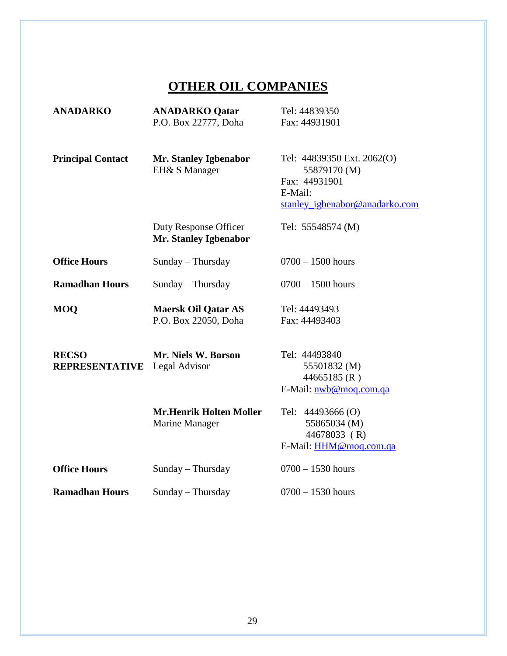# **OTHER OIL COMPANIES**

| <b>ANADARKO</b>                       | <b>ANADARKO Qatar</b><br>P.O. Box 22777, Doha      | Tel: 44839350<br>Fax: 44931901                                                                           |
|---------------------------------------|----------------------------------------------------|----------------------------------------------------------------------------------------------------------|
| <b>Principal Contact</b>              | Mr. Stanley Igbenabor<br>EH& S Manager             | Tel: 44839350 Ext. 2062(O)<br>55879170 (M)<br>Fax: 44931901<br>E-Mail:<br>stanley_igbenabor@anadarko.com |
|                                       | Duty Response Officer<br>Mr. Stanley Igbenabor     | Tel: 55548574 (M)                                                                                        |
| <b>Office Hours</b>                   | Sunday – Thursday                                  | $0700 - 1500$ hours                                                                                      |
| <b>Ramadhan Hours</b>                 | Sunday – Thursday                                  | $0700 - 1500$ hours                                                                                      |
| <b>MOQ</b>                            | <b>Maersk Oil Qatar AS</b><br>P.O. Box 22050, Doha | Tel: 44493493<br>Fax: 44493403                                                                           |
| <b>RECSO</b><br><b>REPRESENTATIVE</b> | Mr. Niels W. Borson<br>Legal Advisor               | Tel: 44493840<br>55501832 (M)<br>44665185 (R)<br>E-Mail: <u>nwb@moq.com.qa</u>                           |
|                                       | <b>Mr.Henrik Holten Moller</b><br>Marine Manager   | Tel: $44493666$ (O)<br>55865034 (M)<br>44678033 (R)<br>E-Mail: <b>HHM</b> @moq.com.qa                    |
| <b>Office Hours</b>                   | Sunday – Thursday                                  | $0700 - 1530$ hours                                                                                      |
| <b>Ramadhan Hours</b>                 | Sunday - Thursday                                  | $0700 - 1530$ hours                                                                                      |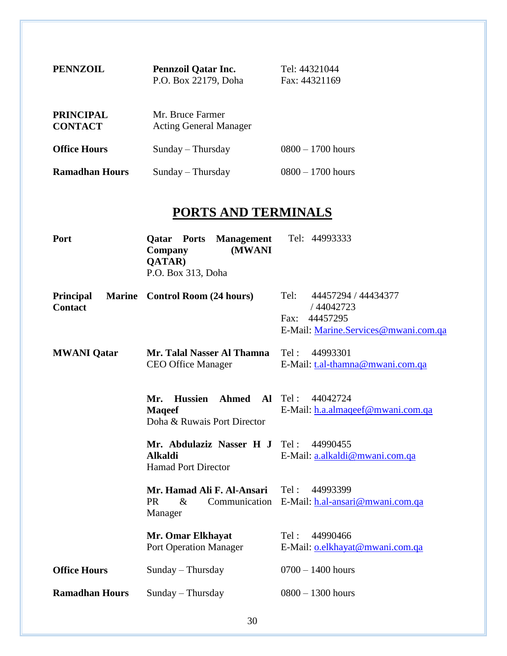| <b>PENNZOIL</b>                    | <b>Pennzoil Qatar Inc.</b><br>P.O. Box 22179, Doha | Tel: 44321044<br>Fax: 44321169 |
|------------------------------------|----------------------------------------------------|--------------------------------|
| <b>PRINCIPAL</b><br><b>CONTACT</b> | Mr. Bruce Farmer<br><b>Acting General Manager</b>  |                                |
| <b>Office Hours</b>                | $Sunday - Thursday$                                | $0800 - 1700$ hours            |
| Ramadhan Hours                     | $Sunday - Thursday$                                | $0800 - 1700$ hours            |

# **PORTS AND TERMINALS**

| Port                               | <b>Management</b><br><b>Qatar</b> Ports<br>(MWANI<br>Company<br><b>QATAR</b> )<br>P.O. Box 313, Doha | Tel: 44993333                                                                                         |
|------------------------------------|------------------------------------------------------------------------------------------------------|-------------------------------------------------------------------------------------------------------|
| <b>Principal</b><br><b>Contact</b> | <b>Marine</b> Control Room (24 hours)                                                                | Tel:<br>44457294 / 44434377<br>/ 44042723<br>44457295<br>Fax:<br>E-Mail: Marine.Services@mwani.com.qa |
| <b>MWANI</b> Qatar                 | Mr. Talal Nasser Al Thamna<br><b>CEO Office Manager</b>                                              | Tel:<br>44993301<br>E-Mail: t.al-thamna@mwani.com.qa                                                  |
|                                    | <b>Hussien</b><br><b>Ahmed</b><br>Al<br>Mr.<br><b>Maqeef</b><br>Doha & Ruwais Port Director          | 44042724<br>Tel:<br>E-Mail: h.a.almaqeef@mwani.com.qa                                                 |
|                                    | Mr. Abdulaziz Nasser H J<br><b>Alkaldi</b><br><b>Hamad Port Director</b>                             | Tel:<br>44990455<br>E-Mail: a.alkaldi@mwani.com.qa                                                    |
|                                    | Mr. Hamad Ali F. Al-Ansari<br><b>PR</b><br>$\&$<br>Manager                                           | Tel:<br>44993399<br>Communication E-Mail: h.al-ansari@mwani.com.qa                                    |
|                                    | Mr. Omar Elkhayat<br><b>Port Operation Manager</b>                                                   | 44990466<br>Tel:<br>E-Mail: o.elkhayat@mwani.com.qa                                                   |
| <b>Office Hours</b>                | Sunday – Thursday                                                                                    | $0700 - 1400$ hours                                                                                   |
| <b>Ramadhan Hours</b>              | Sunday – Thursday                                                                                    | $0800 - 1300$ hours                                                                                   |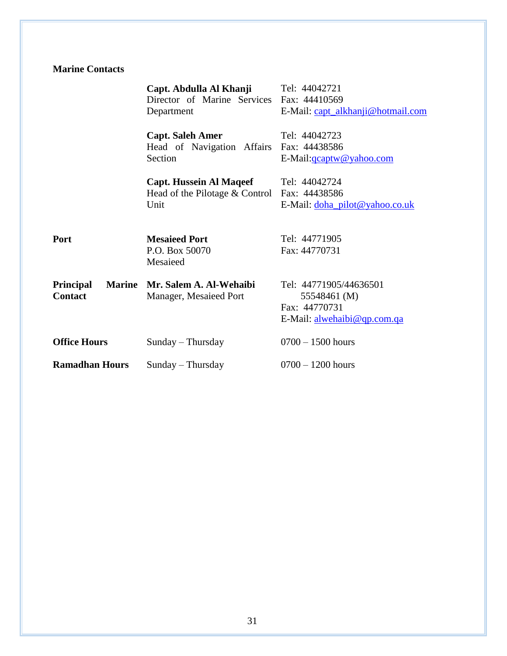| <b>Marine Contacts</b>             |                                                                          |                                                                                        |
|------------------------------------|--------------------------------------------------------------------------|----------------------------------------------------------------------------------------|
|                                    | Capt. Abdulla Al Khanji<br>Director of Marine Services<br>Department     | Tel: 44042721<br>Fax: 44410569<br>E-Mail: capt_alkhanji@hotmail.com                    |
|                                    | <b>Capt. Saleh Amer</b><br>Head of Navigation Affairs<br>Section         | Tel: 44042723<br>Fax: 44438586<br>E-Mail: <i><u>qcaptw@yahoo.com</u></i>               |
|                                    | <b>Capt. Hussein Al Maqeef</b><br>Head of the Pilotage & Control<br>Unit | Tel: 44042724<br>Fax: 44438586<br>E-Mail: doha_pilot@yahoo.co.uk                       |
| Port                               | <b>Mesaieed Port</b><br>P.O. Box 50070<br>Mesaieed                       | Tel: 44771905<br>Fax: 44770731                                                         |
| <b>Principal</b><br><b>Contact</b> | Marine Mr. Salem A. Al-Wehaibi<br>Manager, Mesaieed Port                 | Tel: 44771905/44636501<br>55548461 (M)<br>Fax: 44770731<br>E-Mail: alwehaibi@qp.com.qa |
| <b>Office Hours</b>                | Sunday – Thursday                                                        | $0700 - 1500$ hours                                                                    |
| <b>Ramadhan Hours</b>              | Sunday - Thursday                                                        | $0700 - 1200$ hours                                                                    |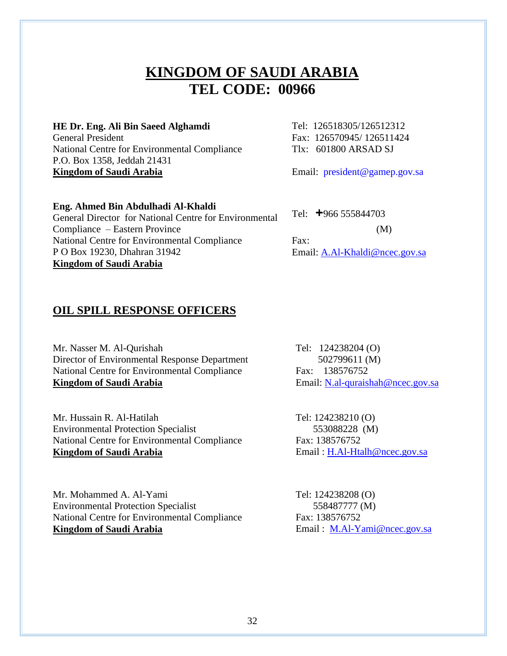# **KINGDOM OF SAUDI ARABIA TEL CODE: 00966**

#### <span id="page-32-0"></span>**HE Dr. Eng. Ali Bin Saeed Alghamdi**

General President National Centre for Environmental Compliance P.O. Box 1358, Jeddah 21431 **Kingdom of Saudi Arabia**

Tel:126518305/126512312 Fax: 126570945/ 126511424 Tlx: 601800 ARSAD SJ

Email: [president@gamep.gov.sa](mailto:president@gamep.gov.sa)

(M)

**Eng. Ahmed Bin Abdulhadi Al-Khaldi** General Director for National Centre for Environmental Compliance – Eastern Province National Centre for Environmental Compliance P O Box 19230, Dhahran 31942 **Kingdom of Saudi Arabia** Tel: +966 555844703 Fax: Email: A.Al-Khaldi@ncec.gov.sa

# **OIL SPILL RESPONSE OFFICERS**

Mr. Nasser M. Al-Qurishah Director of Environmental Response Department National Centre for Environmental Compliance **Kingdom of Saudi Arabia**

Mr. Hussain R. Al-Hatilah Environmental Protection Specialist National Centre for Environmental Compliance **Kingdom of Saudi Arabia**

Mr. Mohammed A. Al-Yami Environmental Protection Specialist National Centre for Environmental Compliance **Kingdom of Saudi Arabia**

Tel: 124238204 (O) 502799611 (M) Fax: 138576752 Email: N.al-quraishah@ncec.gov.sa

Tel: 124238210 (O) 553088228 (M) Fax: 138576752 Email : H.Al-Htalh@ncec.gov.sa

Tel: 124238208 (O) 558487777 (M) Fax: 138576752 Email : M.Al-Yami@ncec.gov.sa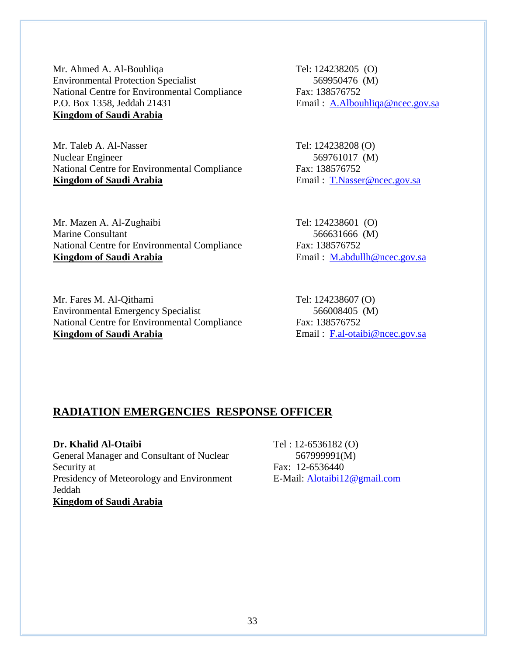Mr. Ahmed A. Al-Bouhliqa Environmental Protection Specialist National Centre for Environmental Compliance P.O. Box 1358, Jeddah 21431 **Kingdom of Saudi Arabia**

Mr. Taleb A. Al-Nasser Nuclear Engineer National Centre for Environmental Compliance **Kingdom of Saudi Arabia**

Mr. Mazen A. Al-Zughaibi Marine Consultant National Centre for Environmental Compliance **Kingdom of Saudi Arabia**

Mr. Fares M. Al-Qithami Environmental Emergency Specialist National Centre for Environmental Compliance **Kingdom of Saudi Arabia**

Tel: 124238205 (O) 569950476 (M) Fax: 138576752 Email : A.Albouhliqa@ncec.gov.sa

Tel: 124238208 (O) 569761017 (M) Fax: 138576752 Email : T.Nasser@ncec.gov.sa

Tel: 124238601 (O) 566631666 (M) Fax: 138576752 Email : M.abdullh@ncec.gov.sa

Tel: 124238607 (O) 566008405 (M) Fax: 138576752 Email : F.al-otaibi@ncec.gov.sa

# **RADIATION EMERGENCIES RESPONSE OFFICER**

**Dr. Khalid Al-Otaibi**

General Manager and Consultant of Nuclear Security at Presidency of Meteorology and Environment Jeddah **Kingdom of Saudi Arabia**

Tel : 12-6536182 (O) 567999991(M) Fax: 12-6536440 E-Mail: [Alotaibi12@gmail.com](mailto:Alotaibi12@gmail.com)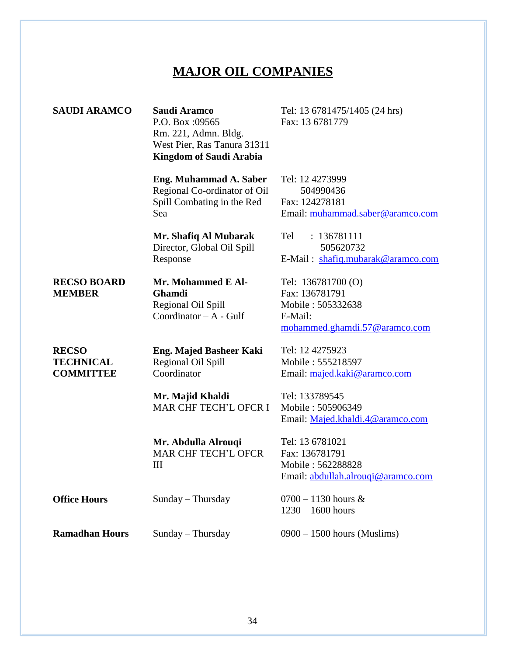# **MAJOR OIL COMPANIES**

| <b>SAUDI ARAMCO</b>                                  | Saudi Aramco<br>P.O. Box: 09565<br>Rm. 221, Admn. Bldg.<br>West Pier, Ras Tanura 31311<br><b>Kingdom of Saudi Arabia</b> | Tel: 13 6781475/1405 (24 hrs)<br>Fax: 13 6781779                                                      |
|------------------------------------------------------|--------------------------------------------------------------------------------------------------------------------------|-------------------------------------------------------------------------------------------------------|
|                                                      | <b>Eng. Muhammad A. Saber</b><br>Regional Co-ordinator of Oil<br>Spill Combating in the Red<br>Sea                       | Tel: 12 4273999<br>504990436<br>Fax: 124278181<br>Email: muhammad.saber@aramco.com                    |
|                                                      | Mr. Shafiq Al Mubarak<br>Director, Global Oil Spill<br>Response                                                          | Tel<br>: 136781111<br>505620732<br>E-Mail: shafiq.mubarak@aramco.com                                  |
| <b>RECSO BOARD</b><br><b>MEMBER</b>                  | Mr. Mohammed E Al-<br>Ghamdi<br>Regional Oil Spill<br>Coordinator $-A - Gulf$                                            | Tel: 136781700 (O)<br>Fax: 136781791<br>Mobile: 505332638<br>E-Mail:<br>mohammed.ghamdi.57@aramco.com |
| <b>RECSO</b><br><b>TECHNICAL</b><br><b>COMMITTEE</b> | <b>Eng. Majed Basheer Kaki</b><br>Regional Oil Spill<br>Coordinator                                                      | Tel: 12 4275923<br>Mobile: 555218597<br>Email: majed.kaki@aramco.com                                  |
|                                                      | Mr. Majid Khaldi<br>MAR CHF TECH'L OFCR I                                                                                | Tel: 133789545<br>Mobile: 505906349<br>Email: Majed.khaldi.4@aramco.com                               |
|                                                      | Mr. Abdulla Alrouqi<br><b>MAR CHF TECH'L OFCR</b><br>Ш                                                                   | Tel: 13 6781021<br>Fax: 136781791<br>Mobile: 562288828<br>Email: abdullah.alrouqi@aramco.com          |
| <b>Office Hours</b>                                  | Sunday - Thursday                                                                                                        | $0700 - 1130$ hours &<br>$1230 - 1600$ hours                                                          |
| <b>Ramadhan Hours</b>                                | $Sunday - Thursday$                                                                                                      | $0900 - 1500$ hours (Muslims)                                                                         |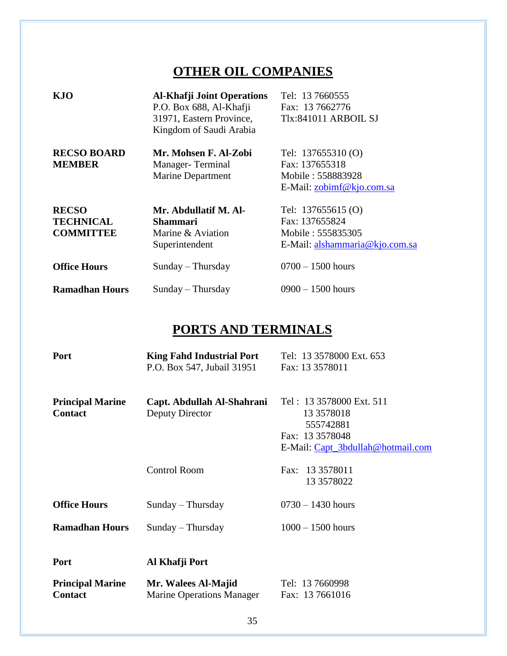# **OTHER OIL COMPANIES**

| <b>KJO</b>                                           | <b>Al-Khafji Joint Operations</b><br>P.O. Box 688, Al-Khafji<br>31971, Eastern Province,<br>Kingdom of Saudi Arabia | Tel: 13 7660555<br>Fax: 13 7662776<br>Tlx:841011 ARBOIL SJ                                  |
|------------------------------------------------------|---------------------------------------------------------------------------------------------------------------------|---------------------------------------------------------------------------------------------|
| <b>RECSO BOARD</b><br><b>MEMBER</b>                  | Mr. Mohsen F. Al-Zobi<br>Manager-Terminal<br><b>Marine Department</b>                                               | Tel: 137655310 (O)<br>Fax: 137655318<br>Mobile: 558883928<br>E-Mail: zobimf@kjo.com.sa      |
| <b>RECSO</b><br><b>TECHNICAL</b><br><b>COMMITTEE</b> | Mr. Abdullatif M. Al-<br><b>Shammari</b><br>Marine & Aviation<br>Superintendent                                     | Tel: 137655615 (O)<br>Fax: 137655824<br>Mobile: 555835305<br>E-Mail: alshammaria@kjo.com.sa |
| <b>Office Hours</b><br><b>Ramadhan Hours</b>         | Sunday - Thursday<br>$Sunday - Thursday$                                                                            | $0700 - 1500$ hours<br>$0900 - 1500$ hours                                                  |

# **PORTS AND TERMINALS**

| <b>Port</b>             | <b>King Fahd Industrial Port</b> | Tel: 13 3578000 Ext. 653          |
|-------------------------|----------------------------------|-----------------------------------|
|                         | P.O. Box 547, Jubail 31951       | Fax: 13 3578011                   |
|                         |                                  |                                   |
| <b>Principal Marine</b> | Capt. Abdullah Al-Shahrani       | Tel: 13 3578000 Ext. 511          |
| <b>Contact</b>          | Deputy Director                  | 13 3578018                        |
|                         |                                  | 555742881                         |
|                         |                                  | Fax: 13 3578048                   |
|                         |                                  | E-Mail: Capt_3bdullah@hotmail.com |
|                         |                                  |                                   |
|                         | <b>Control Room</b>              | Fax: 13 3578011                   |
|                         |                                  | 13 3578022                        |
| <b>Office Hours</b>     | Sunday - Thursday                | $0730 - 1430$ hours               |
| <b>Ramadhan Hours</b>   | Sunday – Thursday                | $1000 - 1500$ hours               |
|                         |                                  |                                   |
| Port                    | Al Khafji Port                   |                                   |
| <b>Principal Marine</b> | Mr. Walees Al-Majid              | Tel: 13 7660998                   |
| <b>Contact</b>          | <b>Marine Operations Manager</b> | Fax: 13 7661016                   |
|                         |                                  |                                   |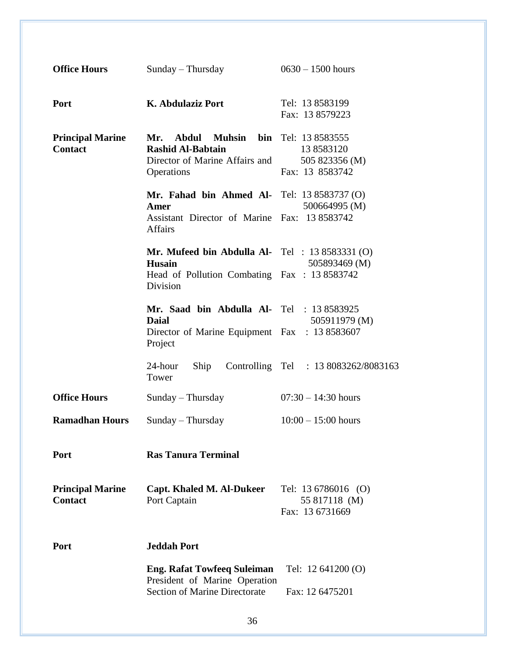| <b>Office Hours</b>                       | $Sunday - Thursday$                                                                                                          | $0630 - 1500$ hours                                     |
|-------------------------------------------|------------------------------------------------------------------------------------------------------------------------------|---------------------------------------------------------|
| Port                                      | K. Abdulaziz Port                                                                                                            | Tel: 13 8583199<br>Fax: 13 8579223                      |
| <b>Principal Marine</b><br><b>Contact</b> | Mr. Abdul Muhsin bin Tel: 13 8583555<br><b>Rashid Al-Babtain</b><br>Director of Marine Affairs and<br>Operations             | 13 8583120<br>505 823356 (M)<br>Fax: 13 8583742         |
|                                           | <b>Mr. Fahad bin Ahmed Al-</b> Tel: 13 8583737 (O)<br>Amer<br>Assistant Director of Marine Fax: 13 8583742<br><b>Affairs</b> | 500664995 (M)                                           |
|                                           | Mr. Mufeed bin Abdulla Al- Tel : $138583331(0)$<br><b>Husain</b><br>Head of Pollution Combating Fax : 13 8583742<br>Division | 505893469 (M)                                           |
|                                           | Mr. Saad bin Abdulla Al- Tel : $138583925$<br><b>Daial</b><br>Director of Marine Equipment Fax : 13 8583607<br>Project       | 505911979 (M)                                           |
|                                           | 24-hour<br>Ship<br>Tower                                                                                                     | Controlling Tel : 13 8083262/8083163                    |
| <b>Office Hours</b>                       | Sunday – Thursday                                                                                                            | $07:30 - 14:30$ hours                                   |
| <b>Ramadhan Hours</b>                     | Sunday – Thursday                                                                                                            | $10:00 - 15:00$ hours                                   |
| Port                                      | <b>Ras Tanura Terminal</b>                                                                                                   |                                                         |
| <b>Principal Marine</b><br><b>Contact</b> | Capt. Khaled M. Al-Dukeer<br>Port Captain                                                                                    | Tel: 13 6786016 (O)<br>55 817118 (M)<br>Fax: 13 6731669 |
| <b>Port</b>                               | <b>Jeddah Port</b>                                                                                                           |                                                         |
|                                           | <b>Eng. Rafat Towfeeq Suleiman</b><br>President of Marine Operation<br><b>Section of Marine Directorate</b>                  | Tel: $12641200(0)$<br>Fax: 12 6475201                   |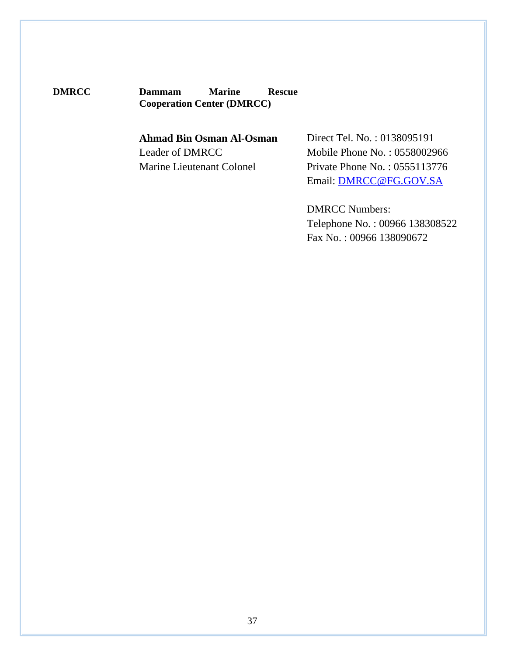#### **DMRCC Dammam Marine Rescue Cooperation Center (DMRCC)**

**Ahmad Bin Osman Al-Osman**  Leader of DMRCC Marine Lieutenant Colonel

Direct Tel. No. : 0138095191 Mobile Phone No. : 0558002966 Private Phone No. : 0555113776 Email: [DMRCC@FG.GOV.SA](mailto:DMRCC@FG.GOV.SA)

DMRCC Numbers: Telephone No. : 00966 138308522 Fax No. : 00966 138090672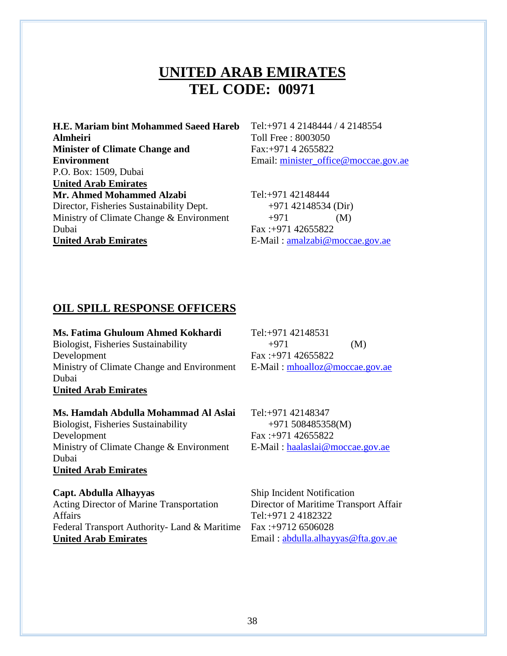# **UNITED ARAB EMIRATES TEL CODE: 00971**

<span id="page-38-0"></span>**H.E. Mariam bint Mohammed Saeed Hareb Almheiri Minister of Climate Change and Environment** P.O. Box: 1509, Dubai **United Arab Emirates Mr. Ahmed Mohammed Alzabi** Director, Fisheries Sustainability Dept. Ministry of Climate Change & Environment Dubai **United Arab Emirates**

Tel:+971 4 2148444 / 4 2148554 Toll Free : 8003050 Fax:+971 4 2655822 Email: [minister\\_office@moccae.gov.ae](mailto:minister_office@moccae.gov.ae)

Tel:+971 42148444 +971 42148534 (Dir)  $+971$  (M) Fax :+971 42655822 E-Mail : [amalzabi@moccae.gov.ae](mailto:saalrayssi@moccae.gov.ae)

### **OIL SPILL RESPONSE OFFICERS**

#### **Ms. Fatima Ghuloum Ahmed Kokhardi**

Biologist, Fisheries Sustainability Development Ministry of Climate Change and Environment Dubai **United Arab Emirates**

#### **Ms. Hamdah Abdulla Mohammad Al Aslai**

Biologist, Fisheries Sustainability Development Ministry of Climate Change & Environment Dubai **United Arab Emirates**

### **Capt. Abdulla Alhayyas**

Acting Director of Marine Transportation Affairs Federal Transport Authority- Land & Maritime **United Arab Emirates**

Tel:+971 42148531  $+971$  (M) Fax :+971 42655822 E-Mail : [mhoalloz@moccae.gov.ae](mailto:mhoalloz@moccae.gov.ae)

Tel:+971 42148347 +971 508485358(M) Fax :+971 42655822 E-Mail : [haalaslai@moccae.gov.ae](mailto:haalaslai@moccae.gov.ae)

Ship Incident Notification Director of Maritime Transport Affair Tel:+971 2 4182322 Fax :+9712 6506028 Email : [abdulla.alhayyas@fta.gov.ae](mailto:abdulla.alhayyas@fta.gov.ae)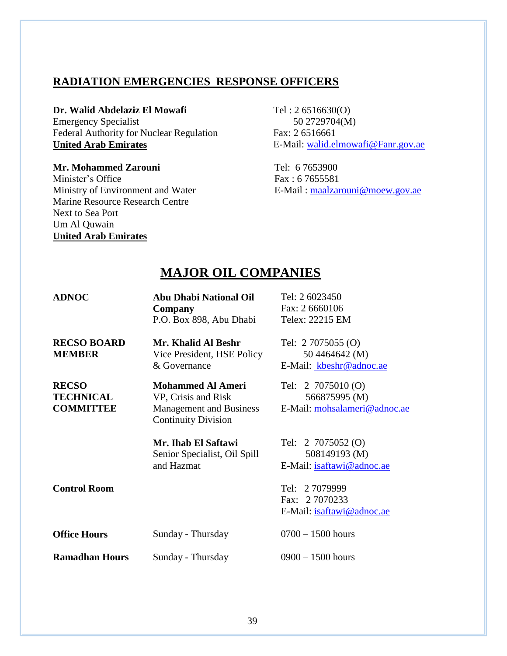### **RADIATION EMERGENCIES RESPONSE OFFICERS**

**Dr. Walid Abdelaziz El Mowafi** Emergency Specialist Federal Authority for Nuclear Regulation **United Arab Emirates**

**Mr. Mohammed Zarouni** Minister's Office Ministry of Environment and Water Marine Resource Research Centre Next to Sea Port Um Al Quwain **United Arab Emirates**

Tel : 2 6516630(O) 50 2729704(M) Fax: 2 6516661 E-Mail: [walid.elmowafi@Fanr.gov.ae](mailto:walid.elmowafi@Fanr.gov.ae)

Tel: 6 7653900 Fax : 6 7655581 E-Mail : maalzarouni@moew.gov.ae

# **MAJOR OIL COMPANIES**

| <b>ADNOC</b>                        | <b>Abu Dhabi National Oil</b><br>Company                     | Tel: 2 6023450<br>Fax: 2 6660106            |
|-------------------------------------|--------------------------------------------------------------|---------------------------------------------|
|                                     | P.O. Box 898, Abu Dhabi                                      | Telex: 22215 EM                             |
| <b>RECSO BOARD</b><br><b>MEMBER</b> | Mr. Khalid Al Beshr                                          | Tel: $2\,7075055$ (O)<br>50 4464642 (M)     |
|                                     | Vice President, HSE Policy<br>& Governance                   | E-Mail: kbeshr@adnoc.ae                     |
| <b>RECSO</b><br><b>TECHNICAL</b>    | <b>Mohammed Al Ameri</b><br>VP, Crisis and Risk              | Tel: $2\,7075010(0)$<br>566875995 (M)       |
| <b>COMMITTEE</b>                    | <b>Management and Business</b><br><b>Continuity Division</b> | E-Mail: mohsalameri@adnoc.ae                |
|                                     | Mr. Ihab El Saftawi<br>Senior Specialist, Oil Spill          | Tel: $2\,7075052(0)$<br>508149193 (M)       |
|                                     | and Hazmat                                                   | E-Mail: <i>isaftawi@adnoc.ae</i>            |
| <b>Control Room</b>                 |                                                              | Tel: 2 7079999                              |
|                                     |                                                              | Fax: 2 7070233<br>E-Mail: isaftawi@adnoc.ae |
|                                     |                                                              |                                             |
| <b>Office Hours</b>                 | Sunday - Thursday                                            | $0700 - 1500$ hours                         |
| <b>Ramadhan Hours</b>               | Sunday - Thursday                                            | $0900 - 1500$ hours                         |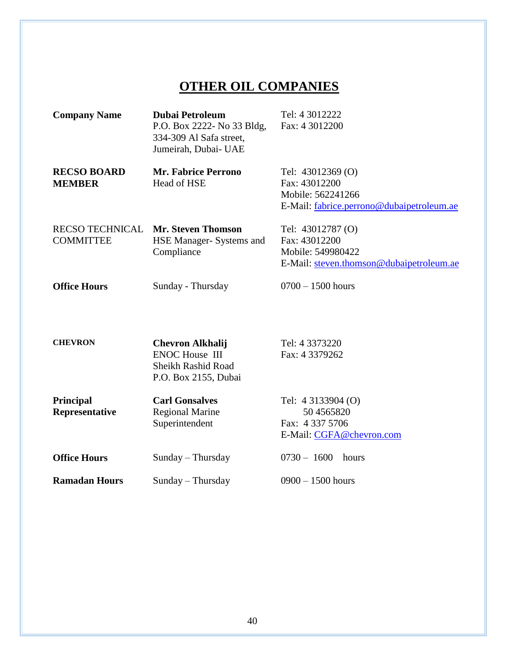# **OTHER OIL COMPANIES**

| <b>Company Name</b>                        | <b>Dubai Petroleum</b><br>P.O. Box 2222- No 33 Bldg,<br>334-309 Al Safa street,<br>Jumeirah, Dubai- UAE | Tel: 4 3012222<br>Fax: 4 3012200                                                                     |
|--------------------------------------------|---------------------------------------------------------------------------------------------------------|------------------------------------------------------------------------------------------------------|
| <b>RECSO BOARD</b><br><b>MEMBER</b>        | <b>Mr. Fabrice Perrono</b><br>Head of HSE                                                               | Tel: 43012369 (O)<br>Fax: 43012200<br>Mobile: 562241266<br>E-Mail: fabrice.perrono@dubaipetroleum.ae |
| <b>RECSO TECHNICAL</b><br><b>COMMITTEE</b> | <b>Mr. Steven Thomson</b><br>HSE Manager- Systems and<br>Compliance                                     | Tel: 43012787 (O)<br>Fax: 43012200<br>Mobile: 549980422<br>E-Mail: steven.thomson@dubaipetroleum.ae  |
| <b>Office Hours</b>                        | Sunday - Thursday                                                                                       | $0700 - 1500$ hours                                                                                  |
| <b>CHEVRON</b>                             | <b>Chevron Alkhalij</b><br><b>ENOC House III</b><br><b>Sheikh Rashid Road</b><br>P.O. Box 2155, Dubai   | Tel: 4 3373220<br>Fax: 4 3379262                                                                     |
| Principal<br>Representative                | <b>Carl Gonsalves</b><br><b>Regional Marine</b><br>Superintendent                                       | Tel: 4 3133904 (O)<br>50 45 65 820<br>Fax: 4 337 5706<br>E-Mail: CGFA@chevron.com                    |
| <b>Office Hours</b>                        | $Sunday - Thursday$                                                                                     | $0730 - 1600$<br>hours                                                                               |
| <b>Ramadan Hours</b>                       | Sunday – Thursday                                                                                       | $0900 - 1500$ hours                                                                                  |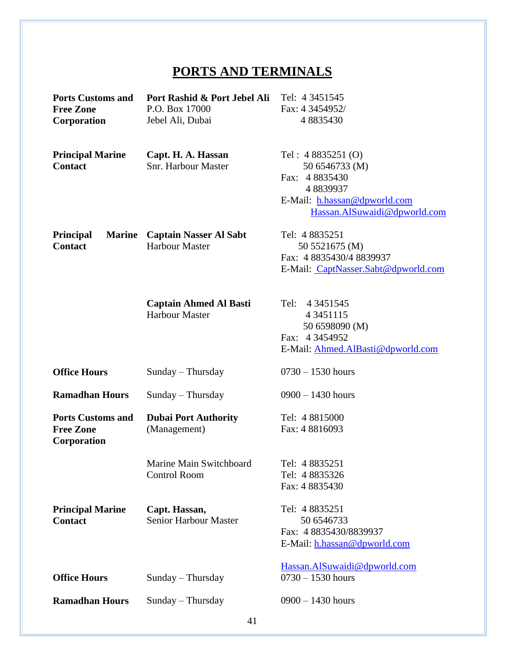# **PORTS AND TERMINALS**

| <b>Ports Customs and</b><br><b>Free Zone</b><br>Corporation | Port Rashid & Port Jebel Ali<br>P.O. Box 17000<br>Jebel Ali, Dubai | Tel: 4 3451545<br>Fax: 4 3454952/<br>48835430                                                                                     |
|-------------------------------------------------------------|--------------------------------------------------------------------|-----------------------------------------------------------------------------------------------------------------------------------|
| <b>Principal Marine</b><br><b>Contact</b>                   | Capt. H. A. Hassan<br><b>Snr. Harbour Master</b>                   | Tel: $48835251(0)$<br>50 6546733 (M)<br>Fax: 48835430<br>48839937<br>E-Mail: h.hassan@dpworld.com<br>Hassan.AlSuwaidi@dpworld.com |
| <b>Principal</b><br><b>Marine</b><br><b>Contact</b>         | <b>Captain Nasser Al Sabt</b><br><b>Harbour Master</b>             | Tel: 4 8835251<br>50 5521675 (M)<br>Fax: 4 8835430/4 8839937<br>E-Mail: CaptNasser.Sabt@dpworld.com                               |
|                                                             | <b>Captain Ahmed Al Basti</b><br><b>Harbour Master</b>             | Tel:<br>4 3 4 5 1 5 4 5<br>4 3 4 5 1 1 1 5<br>50 6598090 (M)<br>Fax: 4 3454952<br>E-Mail: Ahmed.AlBasti@dpworld.com               |
| <b>Office Hours</b>                                         | Sunday – Thursday                                                  | $0730 - 1530$ hours                                                                                                               |
| <b>Ramadhan Hours</b>                                       | Sunday – Thursday                                                  | $0900 - 1430$ hours                                                                                                               |
| <b>Ports Customs and</b><br><b>Free Zone</b><br>Corporation | <b>Dubai Port Authority</b><br>(Management)                        | Tel: 4 8815000<br>Fax: 4 8816093                                                                                                  |
|                                                             | Marine Main Switchboard<br><b>Control Room</b>                     | Tel: 4 8835251<br>Tel: 4 8835326<br>Fax: 4 8835430                                                                                |
| <b>Principal Marine</b><br><b>Contact</b>                   | Capt. Hassan,<br>Senior Harbour Master                             | Tel: 4 8835251<br>50 654 6733<br>Fax: 4 8835430/8839937<br>E-Mail: h.hassan@dpworld.com                                           |
| <b>Office Hours</b>                                         | Sunday – Thursday                                                  | Hassan.AlSuwaidi@dpworld.com<br>$0730 - 1530$ hours                                                                               |
| <b>Ramadhan Hours</b>                                       | Sunday – Thursday                                                  | $0900 - 1430$ hours                                                                                                               |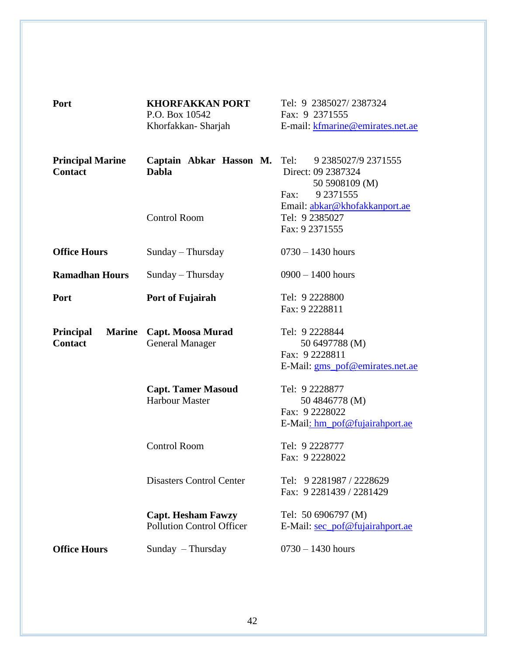| Port                                                | <b>KHORFAKKAN PORT</b><br>P.O. Box 10542<br>Khorfakkan-Sharjah | Tel: 9 2385027/2387324<br>Fax: 9 2371555<br>E-mail: kfmarine@emirates.net.ae             |
|-----------------------------------------------------|----------------------------------------------------------------|------------------------------------------------------------------------------------------|
| <b>Principal Marine</b><br><b>Contact</b>           | Captain Abkar Hasson M.<br><b>Dabla</b>                        | Tel:<br>9 2385027/9 2371555<br>Direct: 09 2387324<br>50 5908109 (M)<br>9 2371555<br>Fax: |
|                                                     | <b>Control Room</b>                                            | Email: abkar@khofakkanport.ae<br>Tel: 9 2385027<br>Fax: 9 2371555                        |
| <b>Office Hours</b>                                 | Sunday - Thursday                                              | $0730 - 1430$ hours                                                                      |
| <b>Ramadhan Hours</b>                               | $Sunday - Thursday$                                            | $0900 - 1400$ hours                                                                      |
| Port                                                | Port of Fujairah                                               | Tel: 9 2228800<br>Fax: 9 2228811                                                         |
| <b>Principal</b><br><b>Marine</b><br><b>Contact</b> | Capt. Moosa Murad<br><b>General Manager</b>                    | Tel: 9 2228844<br>50 6497788 (M)<br>Fax: 9 2228811<br>E-Mail: gms_pof@emirates.net.ae    |
|                                                     | <b>Capt. Tamer Masoud</b><br><b>Harbour Master</b>             | Tel: 9 2228877<br>50 4846778 (M)<br>Fax: 9 2228022<br>E-Mail: hm_pof@fujairahport.ae     |
|                                                     | <b>Control Room</b>                                            | Tel: 9 2228777<br>Fax: 9 2228022                                                         |
|                                                     | <b>Disasters Control Center</b>                                | Tel: 9 2281987 / 2228629<br>Fax: 9 2281439 / 2281429                                     |
|                                                     | <b>Capt. Hesham Fawzy</b><br><b>Pollution Control Officer</b>  | Tel: 50 6906797 (M)<br>E-Mail: sec_pof@fujairahport.ae                                   |
| <b>Office Hours</b>                                 | $Sunday$ – Thursday                                            | $0730 - 1430$ hours                                                                      |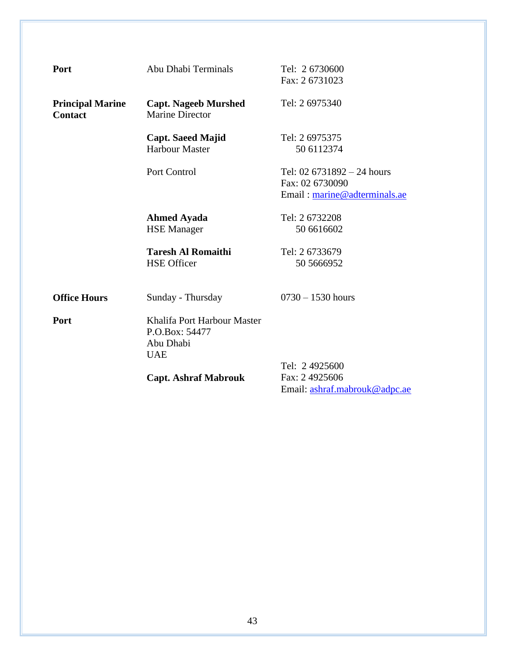| Port                                      | Abu Dhabi Terminals                                                      | Tel: 2 6730600<br>Fax: 2 6731023                                                 |
|-------------------------------------------|--------------------------------------------------------------------------|----------------------------------------------------------------------------------|
| <b>Principal Marine</b><br><b>Contact</b> | <b>Capt. Nageeb Murshed</b><br><b>Marine Director</b>                    | Tel: 2 6975340                                                                   |
|                                           | <b>Capt.</b> Saeed Majid<br><b>Harbour Master</b>                        | Tel: 2 6975375<br>50 6112374                                                     |
|                                           | Port Control                                                             | Tel: $02\,6731892 - 24$ hours<br>Fax: 02 6730090<br>Email: marine@adterminals.ae |
|                                           | <b>Ahmed Ayada</b><br><b>HSE</b> Manager                                 | Tel: 2 6732208<br>50 661 6602                                                    |
|                                           | <b>Taresh Al Romaithi</b><br><b>HSE</b> Officer                          | Tel: 2 6733679<br>50 56 66 952                                                   |
| <b>Office Hours</b>                       | Sunday - Thursday                                                        | $0730 - 1530$ hours                                                              |
| Port                                      | Khalifa Port Harbour Master<br>P.O.Box: 54477<br>Abu Dhabi<br><b>UAE</b> |                                                                                  |
|                                           | <b>Capt. Ashraf Mabrouk</b>                                              | Tel: 2 4925600<br>Fax: 2 4925606<br>Email: ashraf.mabrouk@adpc.ae                |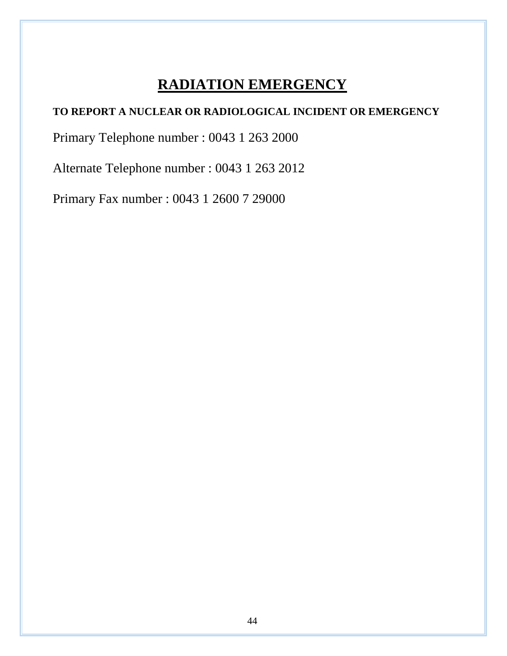# **RADIATION EMERGENCY**

# <span id="page-44-0"></span>**TO REPORT A NUCLEAR OR RADIOLOGICAL INCIDENT OR EMERGENCY**

Primary Telephone number : 0043 1 263 2000

Alternate Telephone number : 0043 1 263 2012

Primary Fax number : 0043 1 2600 7 29000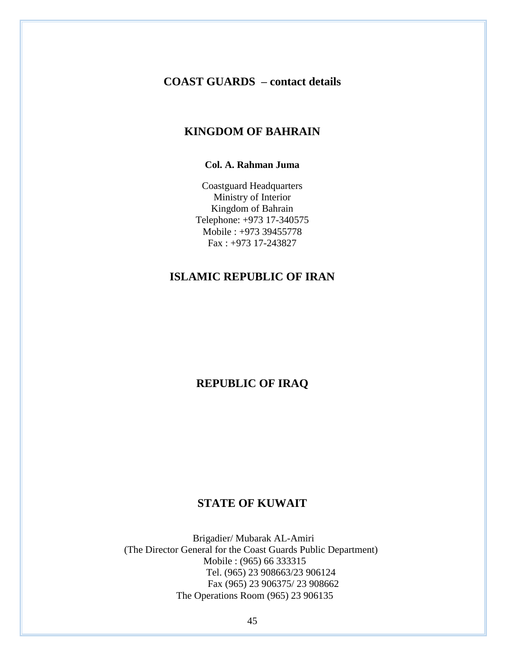### <span id="page-45-0"></span>**COAST GUARDS – contact details**

### **KINGDOM OF BAHRAIN**

#### **Col. A. Rahman Juma**

Coastguard Headquarters Ministry of Interior Kingdom of Bahrain Telephone: +973 17-340575 Mobile : +973 39455778 Fax : +973 17-243827

### **ISLAMIC REPUBLIC OF IRAN**

### **REPUBLIC OF IRAQ**

# **STATE OF KUWAIT**

Brigadier/ Mubarak AL-Amiri (The Director General for the Coast Guards Public Department) Mobile : (965) 66 333315 Tel. (965) 23 908663/23 906124 Fax (965) 23 906375/ 23 908662 The Operations Room (965) 23 906135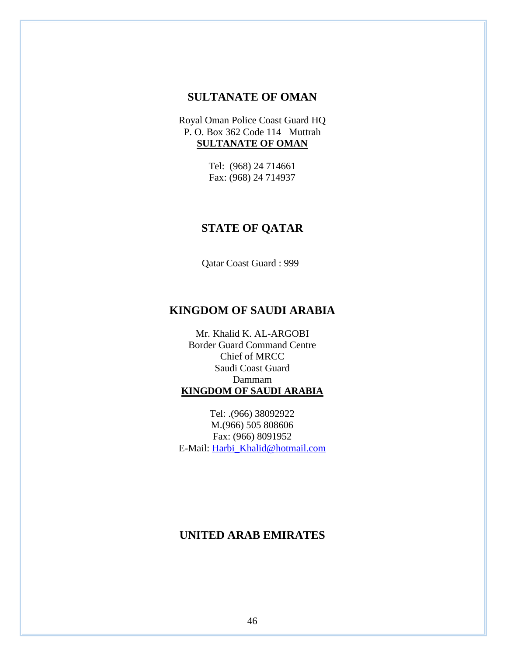### **SULTANATE OF OMAN**

Royal Oman Police Coast Guard HQ P. O. Box 362 Code 114 Muttrah **SULTANATE OF OMAN**

> Tel: (968) 24 714661 Fax: (968) 24 714937

### **STATE OF QATAR**

Qatar Coast Guard : 999

### **KINGDOM OF SAUDI ARABIA**

Mr. Khalid K. AL-ARGOBI Border Guard Command Centre Chief of MRCC Saudi Coast Guard Dammam **KINGDOM OF SAUDI ARABIA**

Tel: .(966) 38092922 M.(966) 505 808606 Fax: (966) 8091952 E-Mail: [Harbi\\_Khalid@hotmail.com](mailto:Harbi_Khalid@hotmail.com)

### **UNITED ARAB EMIRATES**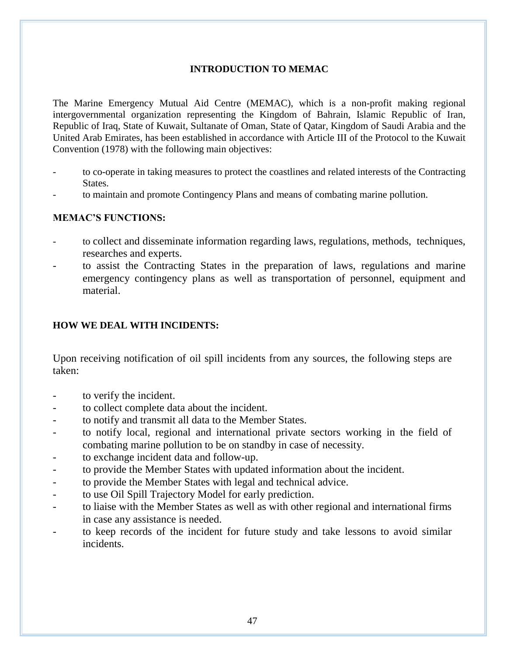### **INTRODUCTION TO MEMAC**

The Marine Emergency Mutual Aid Centre (MEMAC), which is a non-profit making regional intergovernmental organization representing the Kingdom of Bahrain, Islamic Republic of Iran, Republic of Iraq, State of Kuwait, Sultanate of Oman, State of Qatar, Kingdom of Saudi Arabia and the United Arab Emirates, has been established in accordance with Article III of the Protocol to the Kuwait Convention (1978) with the following main objectives:

- to co-operate in taking measures to protect the coastlines and related interests of the Contracting States.
- to maintain and promote Contingency Plans and means of combating marine pollution.

### **MEMAC'S FUNCTIONS:**

- to collect and disseminate information regarding laws, regulations, methods, techniques, researches and experts.
- to assist the Contracting States in the preparation of laws, regulations and marine emergency contingency plans as well as transportation of personnel, equipment and material.

#### **HOW WE DEAL WITH INCIDENTS:**

Upon receiving notification of oil spill incidents from any sources, the following steps are taken:

- to verify the incident.
- to collect complete data about the incident.
- to notify and transmit all data to the Member States.
- to notify local, regional and international private sectors working in the field of combating marine pollution to be on standby in case of necessity.
- to exchange incident data and follow-up.
- to provide the Member States with updated information about the incident.
- to provide the Member States with legal and technical advice.
- to use Oil Spill Trajectory Model for early prediction.
- to liaise with the Member States as well as with other regional and international firms in case any assistance is needed.
- to keep records of the incident for future study and take lessons to avoid similar incidents.